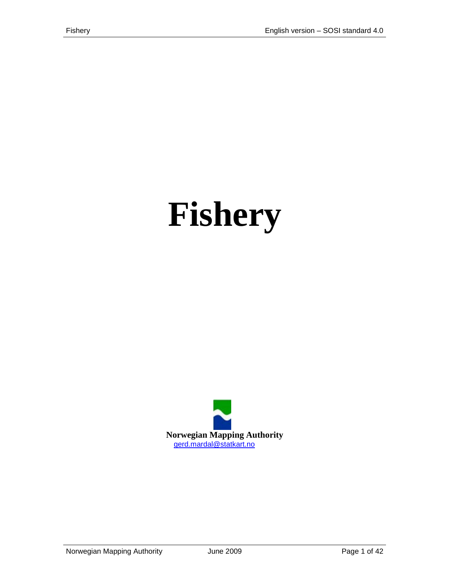# **Fishery**

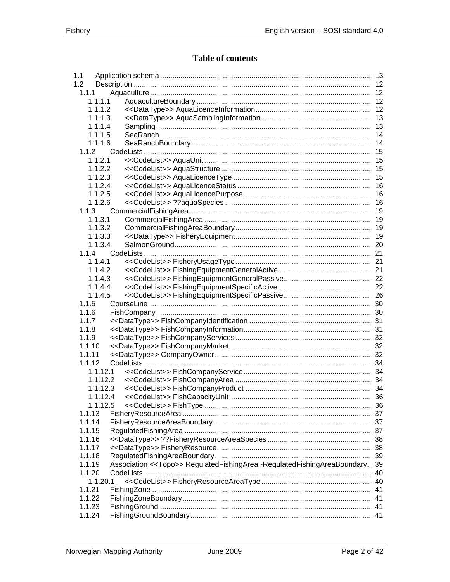# **Table of contents**

| 1.1      |                                                                                   |  |
|----------|-----------------------------------------------------------------------------------|--|
| 1.2      |                                                                                   |  |
| 1.1.1    |                                                                                   |  |
| 1.1.1.1  |                                                                                   |  |
| 1.1.1.2  |                                                                                   |  |
| 1.1.1.3  |                                                                                   |  |
| 1.1.1.4  |                                                                                   |  |
| 1.1.1.5  |                                                                                   |  |
| 1.1.1.6  |                                                                                   |  |
| 1.1.2    |                                                                                   |  |
| 1.1.2.1  |                                                                                   |  |
| 1.1.2.2  |                                                                                   |  |
| 1.1.2.3  |                                                                                   |  |
| 1.1.2.4  |                                                                                   |  |
| 1.1.2.5  |                                                                                   |  |
| 1.1.2.6  |                                                                                   |  |
| 1.1.3    |                                                                                   |  |
|          |                                                                                   |  |
| 1.1.3.1  |                                                                                   |  |
| 1.1.3.2  |                                                                                   |  |
| 1.1.3.3  |                                                                                   |  |
| 1.1.3.4  |                                                                                   |  |
| 1.1.4    |                                                                                   |  |
| 1.1.4.1  |                                                                                   |  |
| 1.1.4.2  |                                                                                   |  |
| 1.1.4.3  |                                                                                   |  |
| 1.1.4.4  |                                                                                   |  |
| 1.1.4.5  |                                                                                   |  |
| 1.1.5    |                                                                                   |  |
| 1.1.6    |                                                                                   |  |
| 1.1.7    |                                                                                   |  |
| 1.1.8    |                                                                                   |  |
| 1.1.9    |                                                                                   |  |
| 1.1.10   |                                                                                   |  |
| 1.1.11   |                                                                                   |  |
| 1.1.12   |                                                                                   |  |
| 1.1.12.1 |                                                                                   |  |
| 1.1.12.2 |                                                                                   |  |
| 1.1.12.3 |                                                                                   |  |
| 1.1.12.4 |                                                                                   |  |
| 1.1.12.5 |                                                                                   |  |
| 1.1.13   |                                                                                   |  |
| 1.1.14   |                                                                                   |  |
|          |                                                                                   |  |
| 1.1.15   |                                                                                   |  |
| 1.1.16   |                                                                                   |  |
| 1.1.17   |                                                                                   |  |
| 1.1.18   |                                                                                   |  |
| 1.1.19   | Association << Topo>> Regulated Fishing Area - Regulated Fishing Area Boundary 39 |  |
| 1.1.20   |                                                                                   |  |
| 1.1.20.1 |                                                                                   |  |
| 1.1.21   |                                                                                   |  |
| 1.1.22   |                                                                                   |  |
| 1.1.23   |                                                                                   |  |
| 1.1.24   |                                                                                   |  |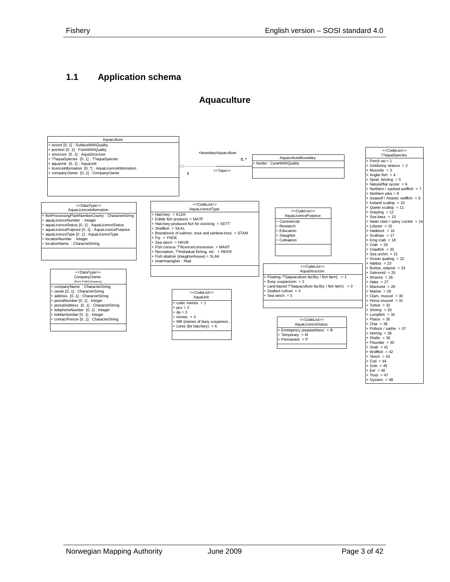# <span id="page-2-0"></span>**1.1 Application schema**

#### **Aquaculture**

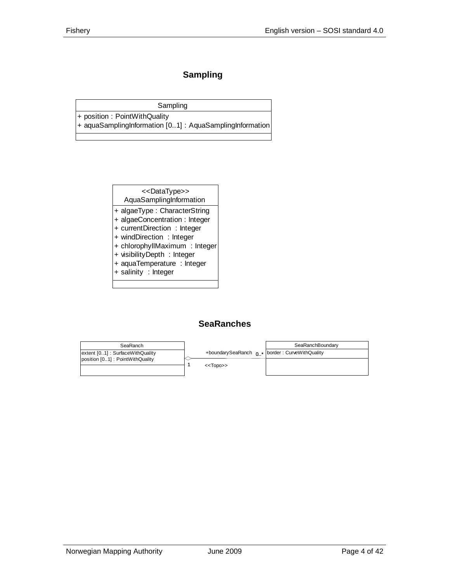# **Sampling**

Sampling

+ position : PointWithQuality + aquaSamplingInformation [0..1] : AquaSamplingInformation

<<DataType>>

AquaSamplingInformation

- + algaeType : CharacterString
- + algaeConcentration : Integer
- + currentDirection : Integer
- + windDirection : Integer
- + chlorophyllMaximum : Integer
- + visibilityDepth : Integer
- + aquaTemperature : Integer
- + salinity : Integer

#### **SeaRanches**

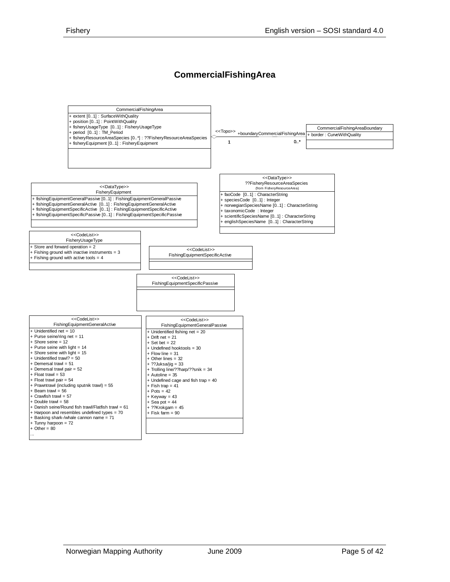#### **CommercialFishingArea**

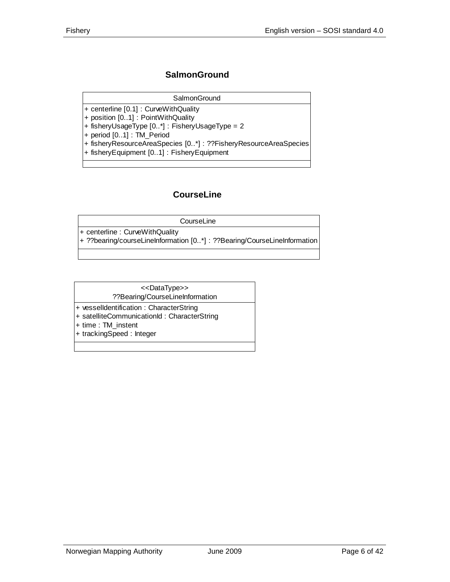#### **SalmonGround**

#### **SalmonGround**

- + centerline [0.1] : CurveWithQuality
- + position [0..1] : PointWithQuality
- + fisheryUsageType [0..\*] : FisheryUsageType = 2

+ period [0..1] : TM\_Period

- + fisheryResourceAreaSpecies [0..\*] : ??FisheryResourceAreaSpecies
- + fisheryEquipment [0..1] : FisheryEquipment

#### **CourseLine**

| CourseLine                                                               |
|--------------------------------------------------------------------------|
| $ +$ centerline : Curve With Quality                                     |
| + ??bearing/courseLineInformation [0*] : ??Bearing/CourseLineInformation |

#### ??Bearing/CourseLineInformation <<DataType>>

- + vesselIdentification : CharacterString
- + satelliteCommunicationId : CharacterString
- + time : TM\_instent
- + trackingSpeed : Integer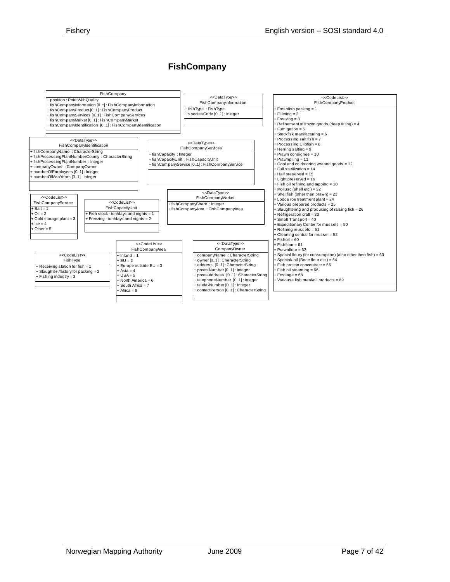#### **FishCompany**

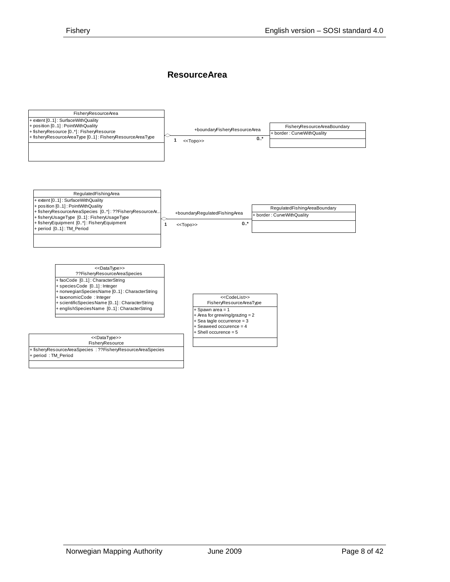#### **ResourceArea**

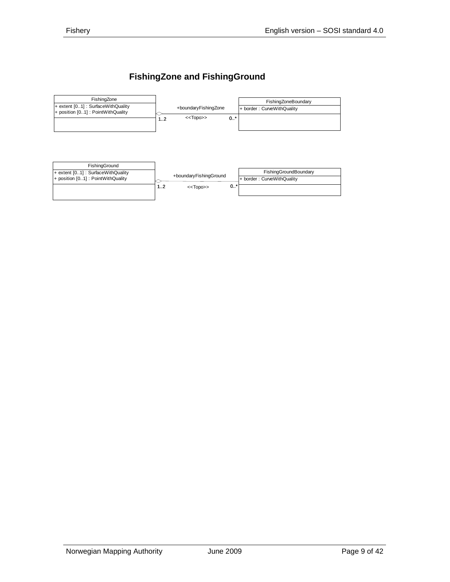# **FishingZone and FishingGround**



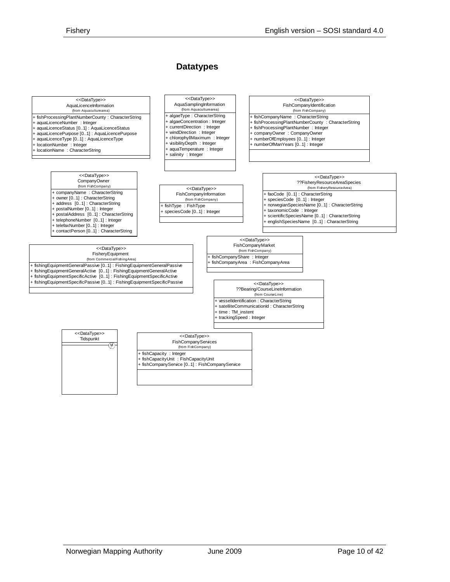#### **Datatypes**

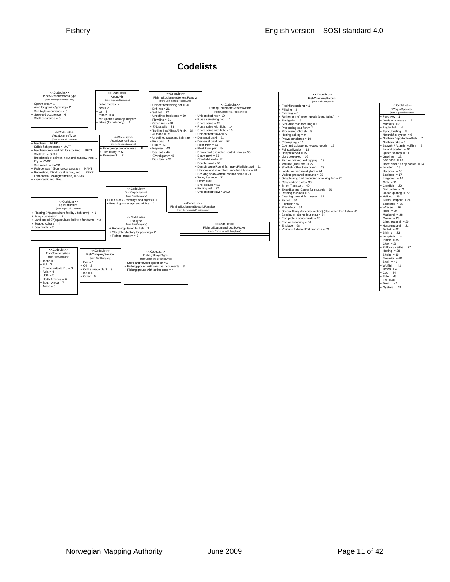#### **Codelists**

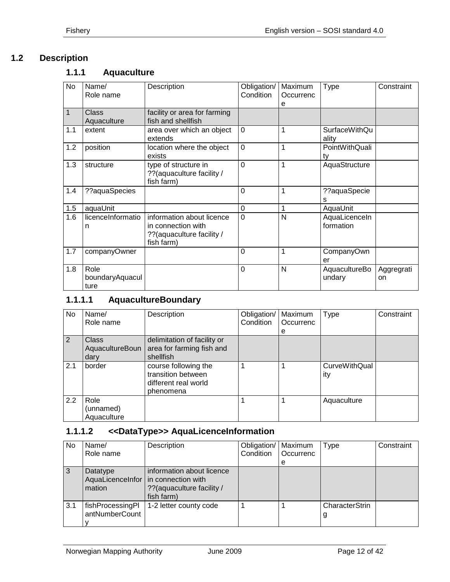# <span id="page-11-0"></span>**1.2 Description**

# <span id="page-11-1"></span>**1.1.1 Aquaculture**

| No          | Name/<br>Role name              | Description                                                                                 | Obligation/<br>Condition | Maximum<br>Occurrenc<br>е | <b>Type</b>                   | Constraint       |
|-------------|---------------------------------|---------------------------------------------------------------------------------------------|--------------------------|---------------------------|-------------------------------|------------------|
| $\mathbf 1$ | Class<br>Aquaculture            | facility or area for farming<br>fish and shellfish                                          |                          |                           |                               |                  |
| 1.1         | extent                          | area over which an object<br>extends                                                        | $\mathbf 0$              | 1                         | <b>SurfaceWithQu</b><br>ality |                  |
| 1.2         | position                        | location where the object<br>exists                                                         | $\overline{0}$           | 1                         | PointWithQuali<br>tv          |                  |
| 1.3         | structure                       | type of structure in<br>?? (aquaculture facility /<br>fish farm)                            | $\Omega$                 | 1                         | AquaStructure                 |                  |
| 1.4         | ??aquaSpecies                   |                                                                                             | $\Omega$                 | 1                         | ??aquaSpecie<br>s             |                  |
| 1.5         | aquaUnit                        |                                                                                             | $\mathbf 0$              | $\mathbf 1$               | AquaUnit                      |                  |
| 1.6         | licenceInformatio<br>n          | information about licence<br>in connection with<br>?? (aquaculture facility /<br>fish farm) | $\Omega$                 | N                         | AquaLicenceIn<br>formation    |                  |
| 1.7         | companyOwner                    |                                                                                             | $\Omega$                 | 1                         | CompanyOwn<br>er              |                  |
| 1.8         | Role<br>boundaryAquacul<br>ture |                                                                                             | $\mathbf 0$              | N                         | AquacultureBo<br>undary       | Aggregrati<br>on |

# <span id="page-11-2"></span>**1.1.1.1 AquacultureBoundary**

| No  | Name/                            | Description                                                                     | Obligation/ | Maximum   | Type                        | Constraint |
|-----|----------------------------------|---------------------------------------------------------------------------------|-------------|-----------|-----------------------------|------------|
|     | Role name                        |                                                                                 | Condition   | Occurrenc |                             |            |
|     |                                  |                                                                                 |             | е         |                             |            |
| 2   | <b>Class</b>                     | delimitation of facility or                                                     |             |           |                             |            |
|     | AquacultureBoun                  | area for farming fish and                                                       |             |           |                             |            |
|     | dary                             | shellfish                                                                       |             |           |                             |            |
| 2.1 | border                           | course following the<br>transition between<br>different real world<br>phenomena | 1           |           | <b>CurveWithQual</b><br>ity |            |
| 2.2 | Role<br>(unnamed)<br>Aquaculture |                                                                                 |             |           | Aquaculture                 |            |

# <span id="page-11-3"></span>**1.1.1.2 <<DataType>> AquaLicenceInformation**

| No. | Name/<br>Role name                 | Description                                                                                                    | Obligation/<br>Condition | Maximum<br>Occurrenc<br>е | Type                | Constraint |
|-----|------------------------------------|----------------------------------------------------------------------------------------------------------------|--------------------------|---------------------------|---------------------|------------|
| 3   | Datatype<br>mation                 | information about licence<br>AquaLicenceInfor   in connection with<br>?? (aquaculture facility /<br>fish farm) |                          |                           |                     |            |
| 3.1 | fishProcessingPl<br>antNumberCount | 1-2 letter county code                                                                                         |                          |                           | CharacterStrin<br>g |            |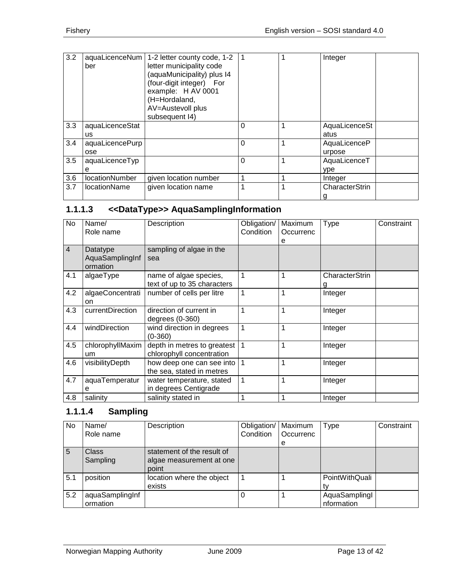| 3.2 | ber                    | aquaLicenceNum   1-2 letter county code, 1-2<br>letter municipality code<br>(aquaMunicipality) plus I4<br>(four-digit integer) For<br>example: H AV 0001<br>(H=Hordaland,<br>AV=Austevoll plus<br>subsequent I4) | -1       |   | Integer                |
|-----|------------------------|------------------------------------------------------------------------------------------------------------------------------------------------------------------------------------------------------------------|----------|---|------------------------|
| 3.3 | aquaLicenceStat<br>us. |                                                                                                                                                                                                                  | 0        | 1 | AquaLicenceSt<br>atus  |
| 3.4 | aquaLicencePurp<br>ose |                                                                                                                                                                                                                  | $\Omega$ | 1 | AquaLicenceP<br>urpose |
| 3.5 | aquaLicenceTyp<br>е    |                                                                                                                                                                                                                  | $\Omega$ | 1 | AquaLicenceT<br>ype    |
| 3.6 | locationNumber         | given location number                                                                                                                                                                                            |          | 1 | Integer                |
| 3.7 | <b>locationName</b>    | given location name                                                                                                                                                                                              | 1        | 1 | CharacterStrin         |

# <span id="page-12-0"></span>**1.1.1.3 <<DataType>> AquaSamplingInformation**

| No             | Name/<br>Role name                      | Description                                              | Obligation/<br>Condition | Maximum<br>Occurrenc<br>е | <b>Type</b>    | Constraint |
|----------------|-----------------------------------------|----------------------------------------------------------|--------------------------|---------------------------|----------------|------------|
| $\overline{4}$ | Datatype<br>AquaSamplingInf<br>ormation | sampling of algae in the<br>sea                          |                          |                           |                |            |
| 4.1            | algaeType                               | name of algae species,<br>text of up to 35 characters    | 1                        |                           | CharacterStrin |            |
| 4.2            | algaeConcentrati<br>on                  | number of cells per litre                                | 1                        | 1                         | Integer        |            |
| 4.3            | currentDirection                        | direction of current in<br>degrees $(0-360)$             | 1                        | 1                         | Integer        |            |
| 4.4            | windDirection                           | wind direction in degrees<br>$(0-360)$                   | 1                        | 1                         | Integer        |            |
| 4.5            | chlorophyllMaxim<br>um                  | depth in metres to greatest<br>chlorophyll concentration | 1                        |                           | Integer        |            |
| 4.6            | visibilityDepth                         | how deep one can see into  <br>the sea, stated in metres | 1                        | 1                         | Integer        |            |
| 4.7            | aquaTemperatur<br>е                     | water temperature, stated<br>in degrees Centigrade       | 1                        | 1                         | Integer        |            |
| 4.8            | salinity                                | salinity stated in                                       | 1                        |                           | Integer        |            |

# <span id="page-12-1"></span>**1.1.1.4 Sampling**

| No  | Name/<br>Role name          | Description                                                     | Obligation/<br>Condition | Maximum<br>Occurrenc<br>е | <b>Type</b>                 | Constraint |
|-----|-----------------------------|-----------------------------------------------------------------|--------------------------|---------------------------|-----------------------------|------------|
| -5  | Class<br>Sampling           | statement of the result of<br>algae measurement at one<br>point |                          |                           |                             |            |
| 5.1 | position                    | location where the object<br>exists                             |                          |                           | PointWithQuali              |            |
| 5.2 | aquaSamplingInf<br>ormation |                                                                 |                          |                           | AquaSamplingI<br>nformation |            |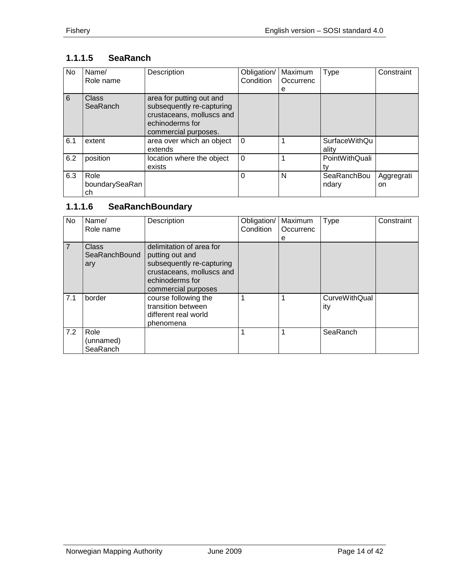# <span id="page-13-0"></span>**1.1.1.5 SeaRanch**

| No. | Name/<br>Role name           | Description                                                                                                                   | Obligation/<br>Condition | Maximum<br>Occurrenc<br>е | Type                          | Constraint       |
|-----|------------------------------|-------------------------------------------------------------------------------------------------------------------------------|--------------------------|---------------------------|-------------------------------|------------------|
| 6   | Class<br>SeaRanch            | area for putting out and<br>subsequently re-capturing<br>crustaceans, molluscs and<br>echinoderms for<br>commercial purposes. |                          |                           |                               |                  |
| 6.1 | extent                       | area over which an object<br>extends                                                                                          | $\Omega$                 |                           | <b>SurfaceWithQu</b><br>ality |                  |
| 6.2 | position                     | location where the object<br>exists                                                                                           | $\Omega$                 |                           | PointWithQuali                |                  |
| 6.3 | Role<br>boundarySeaRan<br>ch |                                                                                                                               | $\Omega$                 | N                         | SeaRanchBou<br>ndary          | Aggregrati<br>on |

# <span id="page-13-1"></span>**1.1.1.6 SeaRanchBoundary**

| No. | Name/         | Description               | Obligation/ | Maximum   | Type                 | Constraint |
|-----|---------------|---------------------------|-------------|-----------|----------------------|------------|
|     | Role name     |                           | Condition   | Occurrenc |                      |            |
|     |               |                           |             | е         |                      |            |
| 7   | <b>Class</b>  | delimitation of area for  |             |           |                      |            |
|     | SeaRanchBound | putting out and           |             |           |                      |            |
|     | ary           | subsequently re-capturing |             |           |                      |            |
|     |               | crustaceans, molluscs and |             |           |                      |            |
|     |               | echinoderms for           |             |           |                      |            |
|     |               | commercial purposes       |             |           |                      |            |
| 7.1 | border        | course following the      | 1           | 1         | <b>CurveWithQual</b> |            |
|     |               | transition between        |             |           | ity                  |            |
|     |               | different real world      |             |           |                      |            |
|     |               | phenomena                 |             |           |                      |            |
| 7.2 | Role          |                           | 1           | 1         | SeaRanch             |            |
|     | (unnamed)     |                           |             |           |                      |            |
|     | SeaRanch      |                           |             |           |                      |            |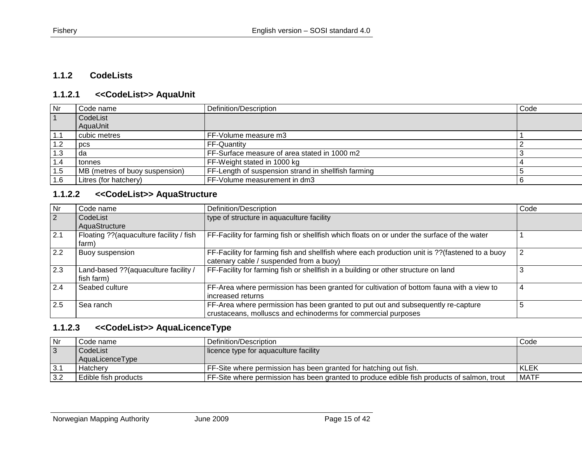#### **1.1.2 CodeLists**

# **1.1.2.1 <<CodeList>> AquaUnit**

| Nr   | Code name                      | Definition/Description                              | Code |
|------|--------------------------------|-----------------------------------------------------|------|
|      | CodeList                       |                                                     |      |
|      | AquaUnit                       |                                                     |      |
| 1. I | l cubic metres                 | FF-Volume measure m3                                |      |
| 1.2  | pcs                            | FF-Quantity                                         |      |
| 1.3  | da                             | FF-Surface measure of area stated in 1000 m2        |      |
| 1.4  | tonnes                         | FF-Weight stated in 1000 kg                         |      |
| 1.5  | MB (metres of buoy suspension) | FF-Length of suspension strand in shellfish farming |      |
| 1.6  | Litres (for hatchery)          | FF-Volume measurement in dm3                        |      |

#### **1.1.2.2 <<CodeList>> AquaStructure**

<span id="page-14-1"></span><span id="page-14-0"></span>

| Nr           | Code name                                           | Definition/Description                                                                                                                            | Code |
|--------------|-----------------------------------------------------|---------------------------------------------------------------------------------------------------------------------------------------------------|------|
| 2            | CodeList                                            | type of structure in aquaculture facility                                                                                                         |      |
|              | AquaStructure                                       |                                                                                                                                                   |      |
| $\sqrt{2.1}$ | Floating ?? (aquaculture facility / fish<br>farm)   | FF-Facility for farming fish or shellfish which floats on or under the surface of the water                                                       |      |
| 2.2          | Buoy suspension                                     | FF-Facility for farming fish and shellfish where each production unit is ?? (fastened to a buoy<br>catenary cable / suspended from a buoy)        |      |
| 2.3          | Land-based ?? (aquaculture facility /<br>fish farm) | FF-Facility for farming fish or shellfish in a building or other structure on land                                                                |      |
| 2.4          | Seabed culture                                      | FF-Area where permission has been granted for cultivation of bottom fauna with a view to<br>increased returns                                     |      |
| 2.5          | Sea ranch                                           | FF-Area where permission has been granted to put out and subsequently re-capture<br>crustaceans, molluscs and echinoderms for commercial purposes | 5    |

# <span id="page-14-2"></span>**1.1.2.3 <<CodeList>> AquaLicenceType**

<span id="page-14-3"></span>

| $\overline{\mathsf{N}}$ r | Code name            | Definition/Description                                                                     | Code        |
|---------------------------|----------------------|--------------------------------------------------------------------------------------------|-------------|
|                           | CodeList             | licence type for aquaculture facility                                                      |             |
|                           | AquaLicenceType      |                                                                                            |             |
| -3.1                      | Hatchery             | FF-Site where permission has been granted for hatching out fish.                           | KLEK        |
| l 3.2                     | Edible fish products | FF-Site where permission has been granted to produce edible fish products of salmon, trout | <b>MATF</b> |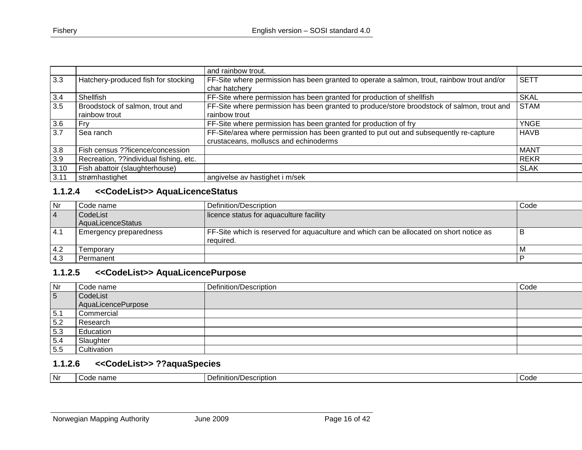|      |                                        | and rainbow trout.                                                                                          |             |
|------|----------------------------------------|-------------------------------------------------------------------------------------------------------------|-------------|
| 3.3  | Hatchery-produced fish for stocking    | FF-Site where permission has been granted to operate a salmon, trout, rainbow trout and/or<br>char hatchery | <b>SETT</b> |
|      |                                        |                                                                                                             |             |
| 3.4  | Shellfish                              | FF-Site where permission has been granted for production of shellfish                                       | <b>SKAL</b> |
| 3.5  | Broodstock of salmon, trout and        | FF-Site where permission has been granted to produce/store broodstock of salmon, trout and                  | <b>STAM</b> |
|      | rainbow trout                          | rainbow trout                                                                                               |             |
| 3.6  | Fry                                    | FF-Site where permission has been granted for production of fry                                             | <b>YNGE</b> |
| 3.7  | Sea ranch                              | FF-Site/area where permission has been granted to put out and subsequently re-capture                       | <b>HAVB</b> |
|      |                                        | crustaceans, molluscs and echinoderms                                                                       |             |
| 3.8  | Fish census ??licence/concession       |                                                                                                             | MANT        |
| 3.9  | Recreation, ??individual fishing, etc. |                                                                                                             | <b>REKR</b> |
| 3.10 | Fish abattoir (slaughterhouse)         |                                                                                                             | <b>SLAK</b> |
| 3.11 | strømhastighet                         | angivelse av hastighet i m/sek                                                                              |             |

# **1.1.2.4 <<CodeList>> AquaLicenceStatus**

| l Nr     | Code name                     | Definition/Description                                                                               | Code |
|----------|-------------------------------|------------------------------------------------------------------------------------------------------|------|
| <b>4</b> | CodeList                      | licence status for aquaculture facility                                                              |      |
|          | AquaLicenceStatus             |                                                                                                      |      |
| 14.1     | <b>Emergency preparedness</b> | FF-Site which is reserved for aquaculture and which can be allocated on short notice as<br>reauired. |      |
| 4.2      | Femporarv                     |                                                                                                      |      |
| $-4.3$   | Permanent                     |                                                                                                      |      |

# **1.1.2.5 <<CodeList>> AquaLicencePurpose**

<span id="page-15-0"></span>

| Nr  | Code name          | Definition/Description | Code |
|-----|--------------------|------------------------|------|
| 5   | CodeList           |                        |      |
|     | AquaLicencePurpose |                        |      |
| 5.1 | Commercial         |                        |      |
| 5.2 | Research           |                        |      |
| 5.3 | Education          |                        |      |
| 5.4 | Slaughter          |                        |      |
| 5.5 | Cultivation        |                        |      |

## **1.1.2.6 <<CodeList>> ??aquaSpecies**

<span id="page-15-2"></span><span id="page-15-1"></span>

| Nr | nm.<br><br>-21116 | scription<br>efinition). | $\sim$<br>`∩d⊆<br>wuc |
|----|-------------------|--------------------------|-----------------------|
|----|-------------------|--------------------------|-----------------------|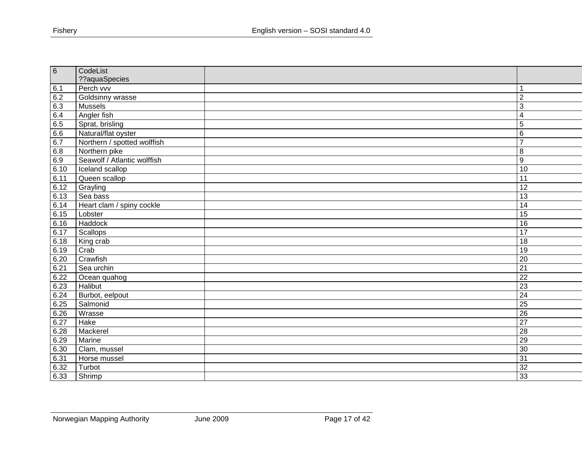| 6    | CodeList                    |                         |
|------|-----------------------------|-------------------------|
|      | ??aquaSpecies               |                         |
| 6.1  | Perch vvv                   | 1                       |
| 6.2  | Goldsinny wrasse            | $\overline{2}$          |
| 6.3  | Mussels                     | 3                       |
| 6.4  | Angler fish                 | $\overline{\mathbf{4}}$ |
| 6.5  | Sprat, brisling             | 5                       |
| 6.6  | Natural/flat oyster         | 6                       |
| 6.7  | Northern / spotted wolffish | $\overline{7}$          |
| 6.8  | Northern pike               | 8                       |
| 6.9  | Seawolf / Atlantic wolffish | $\overline{9}$          |
| 6.10 | Iceland scallop             | $\overline{10}$         |
| 6.11 | Queen scallop               | 11                      |
| 6.12 | Grayling                    | 12                      |
| 6.13 | Sea bass                    | $\overline{13}$         |
| 6.14 | Heart clam / spiny cockle   | $\overline{14}$         |
| 6.15 | Lobster                     | 15                      |
| 6.16 | Haddock                     | 16                      |
| 6.17 | Scallops                    | $\overline{17}$         |
| 6.18 | King crab                   | 18                      |
| 6.19 | Crab                        | 19                      |
| 6.20 | Crawfish                    | 20                      |
| 6.21 | Sea urchin                  | $\overline{21}$         |
| 6.22 | Ocean quahog                | $\overline{22}$         |
| 6.23 | Halibut                     | $\overline{23}$         |
| 6.24 | Burbot, eelpout             | $\overline{24}$         |
| 6.25 | Salmonid                    | $\overline{25}$         |
| 6.26 | Wrasse                      | $\overline{26}$         |
| 6.27 | Hake                        | $\overline{27}$         |
| 6.28 | Mackerel                    | 28                      |
| 6.29 | Marine                      | 29                      |
| 6.30 | Clam, mussel                | 30                      |
| 6.31 | Horse mussel                | $\overline{31}$         |
| 6.32 | Turbot                      | $\overline{32}$         |
| 6.33 | Shrimp                      | 33                      |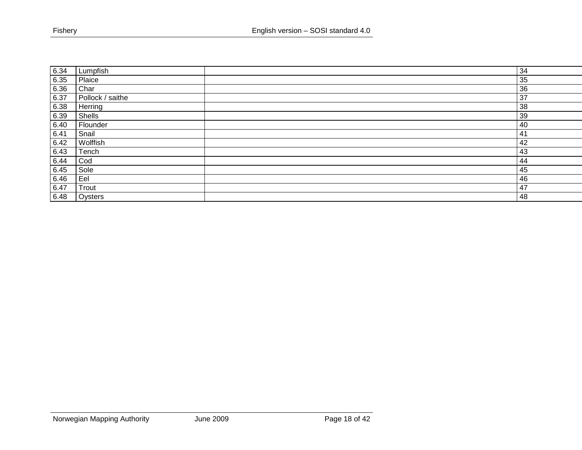| 6.34 | Lumpfish         | 34  |
|------|------------------|-----|
| 6.35 | Plaice           | 35  |
| 6.36 | Char             | 36  |
| 6.37 | Pollock / saithe | 37  |
| 6.38 | Herring          | 38  |
| 6.39 | Shells           | 39  |
| 6.40 | Flounder         | 40  |
| 6.41 | Snail            | 41  |
| 6.42 | Wolffish         | 42  |
| 6.43 | Tench            | 43  |
| 6.44 | Cod              | 44  |
| 6.45 | Sole             | 45  |
| 6.46 | Eel              | 46  |
| 6.47 | Trout            | 147 |
| 6.48 | Oysters          | 48  |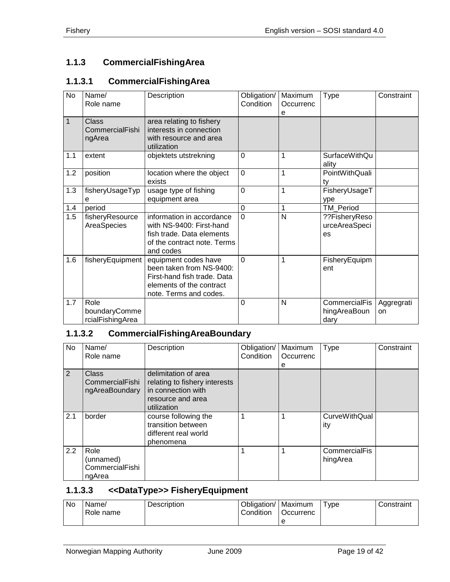# <span id="page-18-0"></span>**1.1.3 CommercialFishingArea**

# <span id="page-18-1"></span>**1.1.3.1 CommercialFishingArea**

| <b>No</b>    | Name/<br>Role name                        | Description                                                                                                                           | Obligation/<br>Condition | Maximum<br>Occurrenc<br>е | <b>Type</b>                           | Constraint       |
|--------------|-------------------------------------------|---------------------------------------------------------------------------------------------------------------------------------------|--------------------------|---------------------------|---------------------------------------|------------------|
| $\mathbf{1}$ | Class<br>CommercialFishi<br>ngArea        | area relating to fishery<br>interests in connection<br>with resource and area<br>utilization                                          |                          |                           |                                       |                  |
| 1.1          | extent                                    | objektets utstrekning                                                                                                                 | $\overline{0}$           | 1                         | <b>SurfaceWithQu</b><br>ality         |                  |
| 1.2          | position                                  | location where the object<br>exists                                                                                                   | $\overline{0}$           | 1                         | PointWithQuali<br>tv                  |                  |
| 1.3          | fisheryUsageTyp<br>e                      | usage type of fishing<br>equipment area                                                                                               | $\overline{0}$           | 1                         | FisheryUsageT<br>ype                  |                  |
| 1.4          | period                                    |                                                                                                                                       | $\overline{0}$           | 1                         | <b>TM Period</b>                      |                  |
| 1.5          | fisheryResource<br>AreaSpecies            | information in accordance<br>with NS-9400: First-hand<br>fish trade. Data elements<br>of the contract note. Terms<br>and codes        | $\Omega$                 | N                         | ??FisheryReso<br>urceAreaSpeci<br>es  |                  |
| 1.6          | fisheryEquipment                          | equipment codes have<br>been taken from NS-9400:<br>First-hand fish trade. Data<br>elements of the contract<br>note. Terms and codes. | 0                        | 1                         | FisheryEquipm<br>ent                  |                  |
| 1.7          | Role<br>boundaryComme<br>rcialFishingArea |                                                                                                                                       | 0                        | N                         | CommercialFis<br>hingAreaBoun<br>dary | Aggregrati<br>on |

# <span id="page-18-2"></span>**1.1.3.2 CommercialFishingAreaBoundary**

| No  | Name/<br>Role name                             | Description                                                                                                     | Obligation/<br>Condition | Maximum<br>Occurrenc<br>е | Type                        | Constraint |
|-----|------------------------------------------------|-----------------------------------------------------------------------------------------------------------------|--------------------------|---------------------------|-----------------------------|------------|
| 2   | Class<br>CommercialFishi<br>ngAreaBoundary     | delimitation of area<br>relating to fishery interests<br>in connection with<br>resource and area<br>utilization |                          |                           |                             |            |
| 2.1 | border                                         | course following the<br>transition between<br>different real world<br>phenomena                                 |                          |                           | <b>CurveWithQual</b><br>ity |            |
| 2.2 | Role<br>(unnamed)<br>CommercialFishi<br>ngArea |                                                                                                                 |                          |                           | CommercialFis<br>hingArea   |            |

#### <span id="page-18-3"></span>**1.1.3.3 <<DataType>> FisheryEquipment**

| No. | Name/<br>Role name | <b>Description</b> | Obligation/<br>Condition | Maximum<br><b>Occurrenc</b> | $T$ vpe | Constraint |
|-----|--------------------|--------------------|--------------------------|-----------------------------|---------|------------|
|     |                    |                    |                          | е                           |         |            |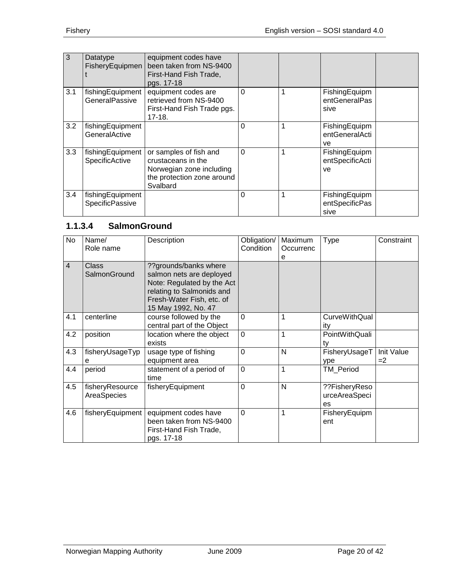| 3   | Datatype<br>FisheryEquipmen         | equipment codes have<br>been taken from NS-9400<br>First-Hand Fish Trade,<br>pgs. 17-18                            |          |   |                                         |  |
|-----|-------------------------------------|--------------------------------------------------------------------------------------------------------------------|----------|---|-----------------------------------------|--|
| 3.1 | fishingEquipment<br>GeneralPassive  | equipment codes are<br>retrieved from NS-9400<br>First-Hand Fish Trade pgs.<br>$17-18.$                            | $\Omega$ | 1 | FishingEquipm<br>entGeneralPas<br>sive  |  |
| 3.2 | fishingEquipment<br>GeneralActive   |                                                                                                                    | $\Omega$ | 1 | FishingEquipm<br>entGeneralActi<br>ve   |  |
| 3.3 | fishingEquipment<br>SpecificActive  | or samples of fish and<br>crustaceans in the<br>Norwegian zone including<br>the protection zone around<br>Svalbard | $\Omega$ | 1 | FishingEquipm<br>entSpecificActi<br>ve  |  |
| 3.4 | fishingEquipment<br>SpecificPassive |                                                                                                                    | $\Omega$ | 1 | FishingEquipm<br>entSpecificPas<br>sive |  |

# <span id="page-19-0"></span>**1.1.3.4 SalmonGround**

| No             | Name/<br>Role name             | Description                                                                                                                                                      | Obligation/<br>Condition | Maximum<br>Occurrenc<br>e | <b>Type</b>                          | Constraint         |
|----------------|--------------------------------|------------------------------------------------------------------------------------------------------------------------------------------------------------------|--------------------------|---------------------------|--------------------------------------|--------------------|
| $\overline{4}$ | <b>Class</b><br>SalmonGround   | ??grounds/banks where<br>salmon nets are deployed<br>Note: Regulated by the Act<br>relating to Salmonids and<br>Fresh-Water Fish, etc. of<br>15 May 1992, No. 47 |                          |                           |                                      |                    |
| 4.1            | centerline                     | course followed by the<br>central part of the Object                                                                                                             | $\mathbf 0$              | 1                         | <b>CurveWithQual</b><br>ity          |                    |
| 4.2            | position                       | location where the object<br>exists                                                                                                                              | $\overline{0}$           | 1                         | PointWithQuali<br>tv                 |                    |
| 4.3            | fisheryUsageTyp<br>е           | usage type of fishing<br>equipment area                                                                                                                          | $\overline{0}$           | N                         | FisheryUsageT<br>ype                 | Init Value<br>$=2$ |
| 4.4            | period                         | statement of a period of<br>time                                                                                                                                 | $\overline{0}$           | 1                         | TM_Period                            |                    |
| 4.5            | fisheryResource<br>AreaSpecies | fisheryEquipment                                                                                                                                                 | $\overline{0}$           | N                         | ??FisheryReso<br>urceAreaSpeci<br>es |                    |
| 4.6            | fisheryEquipment               | equipment codes have<br>been taken from NS-9400<br>First-Hand Fish Trade,<br>pgs. 17-18                                                                          | $\mathbf 0$              | $\mathbf{1}$              | FisheryEquipm<br>ent                 |                    |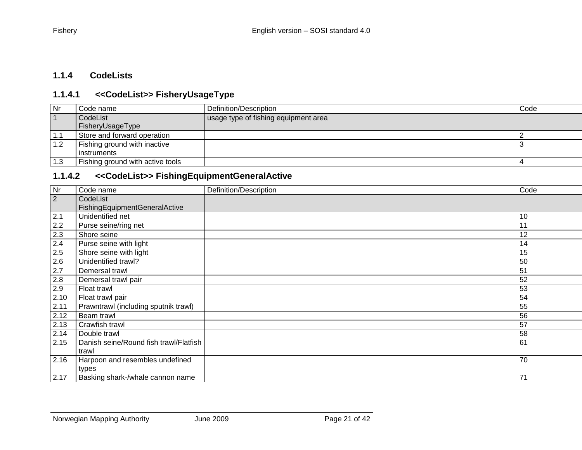# **1.1.4 CodeLists**

# **1.1.4.1 <<CodeList>> FisheryUsageType**

| Nr        | Code name                               | Definition/Description               | Code |
|-----------|-----------------------------------------|--------------------------------------|------|
| $\vert$ 1 | CodeList                                | usage type of fishing equipment area |      |
|           | FisheryUsageType                        |                                      |      |
| 1.1       | Store and forward operation             |                                      |      |
| 1.2       | Fishing ground with inactive            |                                      |      |
|           | l instruments                           |                                      |      |
| 1.3       | <b>Fishing ground with active tools</b> |                                      |      |

## **1.1.4.2 <<CodeList>> FishingEquipmentGeneralActive**

<span id="page-20-2"></span><span id="page-20-1"></span><span id="page-20-0"></span>

| Nr   | Code name                              | Definition/Description | Code |
|------|----------------------------------------|------------------------|------|
| 2    | CodeList                               |                        |      |
|      | FishingEquipmentGeneralActive          |                        |      |
| 2.1  | Unidentified net                       |                        | 10   |
| 2.2  | Purse seine/ring net                   |                        | 11   |
| 2.3  | Shore seine                            |                        | 12   |
| 2.4  | Purse seine with light                 |                        | 14   |
| 2.5  | Shore seine with light                 |                        | 15   |
| 2.6  | Unidentified trawl?                    |                        | 50   |
| 2.7  | Demersal trawl                         |                        | 51   |
| 2.8  | Demersal trawl pair                    |                        | 52   |
| 2.9  | Float trawl                            |                        | 53   |
| 2.10 | Float trawl pair                       |                        | 54   |
| 2.11 | Prawntrawl (including sputnik trawl)   |                        | 55   |
| 2.12 | Beam trawl                             |                        | 56   |
| 2.13 | Crawfish trawl                         |                        | 57   |
| 2.14 | Double trawl                           |                        | 58   |
| 2.15 | Danish seine/Round fish trawl/Flatfish |                        | 61   |
|      | trawl                                  |                        |      |
| 2.16 | Harpoon and resembles undefined        |                        | 70   |
|      | types                                  |                        |      |
| 2.17 | Basking shark-/whale cannon name       |                        | 71   |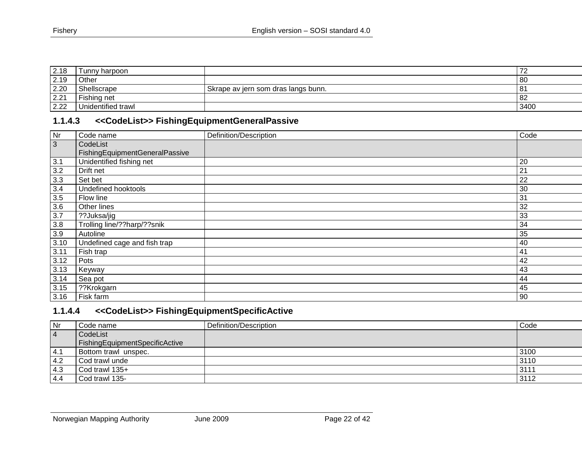| 2.18 | Tunny harpoon      |                                     |           |
|------|--------------------|-------------------------------------|-----------|
| 2.19 | Other              |                                     | 80        |
| 2.20 | Shellscrape        | Skrape av jern som dras langs bunn. | 8         |
| 2.21 | Fishing net        |                                     | <b>82</b> |
| 2.22 | Unidentified trawl |                                     | 3400      |

# **1.1.4.3 <<CodeList>> FishingEquipmentGeneralPassive**

| Nr             | Code name                      | Definition/Description | Code |
|----------------|--------------------------------|------------------------|------|
| $\overline{3}$ | CodeList                       |                        |      |
|                | FishingEquipmentGeneralPassive |                        |      |
| 3.1            | Unidentified fishing net       |                        | 20   |
| 3.2            | Drift net                      |                        | 21   |
| 3.3            | Set bet                        |                        | 22   |
| 3.4            | Undefined hooktools            |                        | 30   |
| 3.5            | Flow line                      |                        | 31   |
| 3.6            | Other lines                    |                        | 32   |
| 3.7            | ??Juksa/jig                    |                        | 33   |
| $3.8\,$        | Trolling line/??harp/??snik    |                        | 34   |
| $3.9\,$        | Autoline                       |                        | 35   |
| 3.10           | Undefined cage and fish trap   |                        | 40   |
| 3.11           | Fish trap                      |                        | 41   |
| 3.12           | Pots                           |                        | 42   |
| 3.13           | Keyway                         |                        | 43   |
| 3.14           | Sea pot                        |                        | 44   |
| 3.15           | ??Krokgarn                     |                        | 45   |
| 3.16           | Fisk farm                      |                        | 90   |

# <span id="page-21-0"></span>**1.1.4.4 <<CodeList>> FishingEquipmentSpecificActive**

<span id="page-21-1"></span>

| Nr        | Code name                      | Definition/Description | Code |
|-----------|--------------------------------|------------------------|------|
| $\vert 4$ | CodeList                       |                        |      |
|           | FishingEquipmentSpecificActive |                        |      |
| 4.1       | Bottom trawl unspec.           |                        | 3100 |
| 4.2       | Cod trawl unde                 |                        | 3110 |
| 4.3       | Cod trawl 135+                 |                        | 3111 |
| 4.4       | Cod trawl 135-                 |                        | 3112 |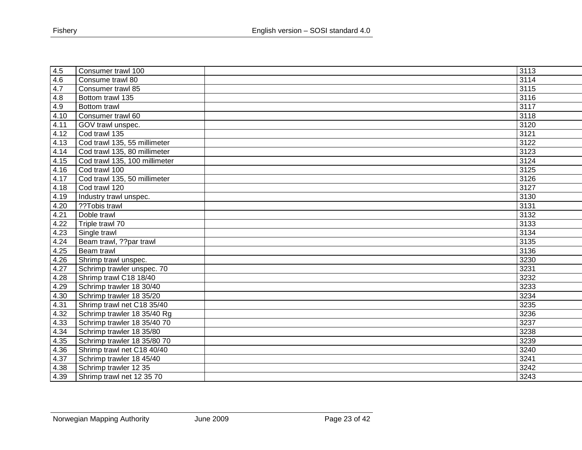| 4.5  | Consumer trawl 100            | 3113 |
|------|-------------------------------|------|
| 4.6  | Consume trawl 80              | 3114 |
| 4.7  | Consumer trawl 85             | 3115 |
| 4.8  | Bottom trawl 135              | 3116 |
| 4.9  | Bottom trawl                  | 3117 |
| 4.10 | Consumer trawl 60             | 3118 |
| 4.11 | GOV trawl unspec.             | 3120 |
| 4.12 | Cod trawl 135                 | 3121 |
| 4.13 | Cod trawl 135, 55 millimeter  | 3122 |
| 4.14 | Cod trawl 135, 80 millimeter  | 3123 |
| 4.15 | Cod trawl 135, 100 millimeter | 3124 |
| 4.16 | Cod trawl 100                 | 3125 |
| 4.17 | Cod trawl 135, 50 millimeter  | 3126 |
| 4.18 | Cod trawl 120                 | 3127 |
| 4.19 | Industry trawl unspec.        | 3130 |
| 4.20 | ??Tobis trawl                 | 3131 |
| 4.21 | Doble trawl                   | 3132 |
| 4.22 | Triple trawl 70               | 3133 |
| 4.23 | Single trawl                  | 3134 |
| 4.24 | Beam trawl, ??par trawl       | 3135 |
| 4.25 | Beam trawl                    | 3136 |
| 4.26 | Shrimp trawl unspec.          | 3230 |
| 4.27 | Schrimp trawler unspec. 70    | 3231 |
| 4.28 | Shrimp trawl C18 18/40        | 3232 |
| 4.29 | Schrimp trawler 18 30/40      | 3233 |
| 4.30 | Schrimp trawler 18 35/20      | 3234 |
| 4.31 | Shrimp trawl net C18 35/40    | 3235 |
| 4.32 | Schrimp trawler 18 35/40 Rg   | 3236 |
| 4.33 | Schrimp trawler 18 35/40 70   | 3237 |
| 4.34 | Schrimp trawler 18 35/80      | 3238 |
| 4.35 | Schrimp trawler 18 35/80 70   | 3239 |
| 4.36 | Shrimp trawl net C18 40/40    | 3240 |
| 4.37 | Schrimp trawler 18 45/40      | 3241 |
| 4.38 | Schrimp trawler 12 35         | 3242 |
| 4.39 | Shrimp trawl net 12 35 70     | 3243 |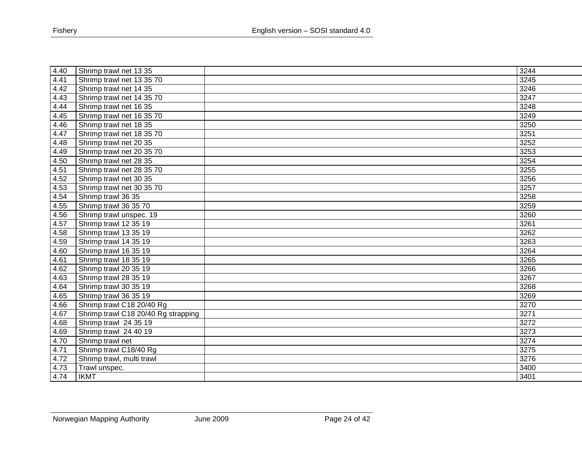| 4.40 | Shrimp trawl net 13 35              | 3244 |
|------|-------------------------------------|------|
| 4.41 | Shrimp trawl net 13 35 70           | 3245 |
| 4.42 | Shrimp trawl net 14 35              | 3246 |
| 4.43 | Shrimp trawl net 14 35 70           | 3247 |
| 4.44 | Shrimp trawl net 16 35              | 3248 |
| 4.45 | Shrimp trawl net 16 35 70           | 3249 |
| 4.46 | Shrimp trawl net 18 35              | 3250 |
| 4.47 | Shrimp trawl net 18 35 70           | 3251 |
| 4.48 | Shrimp trawl net 20 35              | 3252 |
| 4.49 | Shrimp trawl net 20 35 70           | 3253 |
| 4.50 | Shrimp trawl net 28 35              | 3254 |
| 4.51 | Shrimp trawl net 28 35 70           | 3255 |
| 4.52 | Shrimp trawl net 30 35              | 3256 |
| 4.53 | Shrimp trawl net 30 35 70           | 3257 |
| 4.54 | Shrimp trawl 36 35                  | 3258 |
| 4.55 | Shrimp trawl 36 35 70               | 3259 |
| 4.56 | Shrimp trawl unspec. 19             | 3260 |
| 4.57 | Shrimp trawl 12 35 19               | 3261 |
| 4.58 | Shrimp trawl 13 35 19               | 3262 |
| 4.59 | Shrimp trawl 14 35 19               | 3263 |
| 4.60 | Shrimp trawl 16 35 19               | 3264 |
| 4.61 | Shrimp trawl 18 35 19               | 3265 |
| 4.62 | Shrimp trawl 20 35 19               | 3266 |
| 4.63 | Shrimp trawl 28 35 19               | 3267 |
| 4.64 | Shrimp trawl 30 35 19               | 3268 |
| 4.65 | Shrimp trawl 36 35 19               | 3269 |
| 4.66 | Shrimp trawl C18 20/40 Rg           | 3270 |
| 4.67 | Shrimp trawl C18 20/40 Rg strapping | 3271 |
| 4.68 | Shrimp trawl 24 35 19               | 3272 |
| 4.69 | Shrimp trawl 24 40 19               | 3273 |
| 4.70 | Shrimp trawl net                    | 3274 |
| 4.71 | Shrimp trawl C18/40 Rg              | 3275 |
| 4.72 | Shrimp trawl, multi trawl           | 3276 |
| 4.73 | Trawl unspec.                       | 3400 |
| 4.74 | <b>IKMT</b>                         | 3401 |
|      |                                     |      |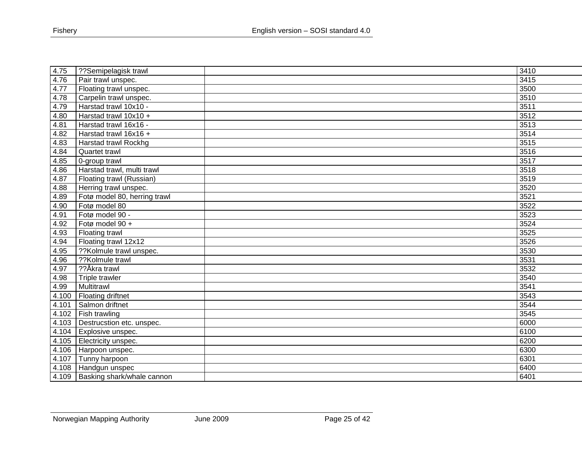| 4.75  | ??Semipelagisk trawl              | 3410 |
|-------|-----------------------------------|------|
| 4.76  | Pair trawl unspec.                | 3415 |
| 4.77  | Floating trawl unspec.            | 3500 |
| 4.78  | Carpelin trawl unspec.            | 3510 |
| 4.79  | Harstad trawl 10x10 -             | 3511 |
| 4.80  | Harstad trawl 10x10 +             | 3512 |
| 4.81  | Harstad trawl 16x16 -             | 3513 |
| 4.82  | Harstad trawl 16x16 +             | 3514 |
| 4.83  | Harstad trawl Rockhg              | 3515 |
| 4.84  | Quartet trawl                     | 3516 |
| 4.85  | 0-group trawl                     | 3517 |
| 4.86  | Harstad trawl, multi trawl        | 3518 |
| 4.87  | Floating trawl (Russian)          | 3519 |
| 4.88  | Herring trawl unspec.             | 3520 |
| 4.89  | Fotø model 80, herring trawl      | 3521 |
| 4.90  | Fotø model 80                     | 3522 |
| 4.91  | Fotø model 90 -                   | 3523 |
| 4.92  | Fotø model 90 +                   | 3524 |
| 4.93  | Floating trawl                    | 3525 |
| 4.94  | Floating trawl 12x12              | 3526 |
| 4.95  | ??Kolmule trawl unspec.           | 3530 |
| 4.96  | ??Kolmule trawl                   | 3531 |
| 4.97  | ??Åkra trawl                      | 3532 |
| 4.98  | Triple trawler                    | 3540 |
| 4.99  | Multitrawl                        | 3541 |
| 4.100 | <b>Floating driftnet</b>          | 3543 |
| 4.101 | Salmon driftnet                   | 3544 |
| 4.102 | <b>Fish trawling</b>              | 3545 |
| 4.103 | Destrucstion etc. unspec.         | 6000 |
| 4.104 | Explosive unspec.                 | 6100 |
| 4.105 | Electricity unspec.               | 6200 |
| 4.106 | Harpoon unspec.                   | 6300 |
| 4.107 | Tunny harpoon                     | 6301 |
| 4.108 | Handgun unspec                    | 6400 |
| 4.109 | <b>Basking shark/whale cannon</b> | 6401 |
|       |                                   |      |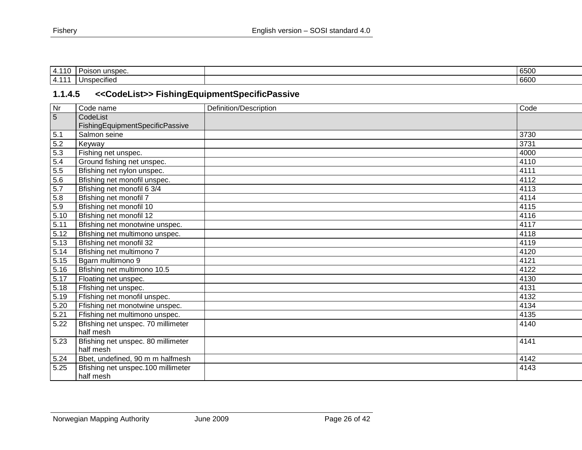| ≖                   | $\sqrt{2}$<br>ınc<br>`n o<br><br>$\cdot$ , $\cdot$<br>. | $\sim$ $\sim$ $\sim$<br>. .<br>$\sim$ |
|---------------------|---------------------------------------------------------|---------------------------------------|
| $\overline{ }$<br>. | . .<br>becified<br>Jnse                                 | $\sim$<br>600c                        |

# **1.1.4.5 <<CodeList>> FishingEquipmentSpecificPassive**

<span id="page-25-0"></span>

| $\overline{\mathsf{Nr}}$ | Code name                          | Definition/Description | Code |
|--------------------------|------------------------------------|------------------------|------|
| $5\phantom{.}$           | CodeList                           |                        |      |
|                          | FishingEquipmentSpecificPassive    |                        |      |
| 5.1                      | Salmon seine                       |                        | 3730 |
| 5.2                      | Keyway                             |                        | 3731 |
| 5.3                      | Fishing net unspec.                |                        | 4000 |
| 5.4                      | Ground fishing net unspec.         |                        | 4110 |
| 5.5                      | Bfishing net nylon unspec.         |                        | 4111 |
| 5.6                      | Bfishing net monofil unspec.       |                        | 4112 |
| 5.7                      | Bfishing net monofil 6 3/4         |                        | 4113 |
| 5.8                      | Bfishing net monofil 7             |                        | 4114 |
| 5.9                      | Bfishing net monofil 10            |                        | 4115 |
| 5.10                     | Bfishing net monofil 12            |                        | 4116 |
| 5.11                     | Bfishing net monotwine unspec.     |                        | 4117 |
| 5.12                     | Bfishing net multimono unspec.     |                        | 4118 |
| 5.13                     | Bfishing net monofil 32            |                        | 4119 |
| 5.14                     | Bfishing net multimono 7           |                        | 4120 |
| 5.15                     | Bgarn multimono 9                  |                        | 4121 |
| 5.16                     | Bfishing net multimono 10.5        |                        | 4122 |
| 5.17                     | Floating net unspec.               |                        | 4130 |
| 5.18                     | Ffishing net unspec.               |                        | 4131 |
| 5.19                     | Ffishing net monofil unspec.       |                        | 4132 |
| 5.20                     | Ffishing net monotwine unspec.     |                        | 4134 |
| 5.21                     | Ffishing net multimono unspec.     |                        | 4135 |
| 5.22                     | Bfishing net unspec. 70 millimeter |                        | 4140 |
|                          | half mesh                          |                        |      |
| 5.23                     | Bfishing net unspec. 80 millimeter |                        | 4141 |
|                          | half mesh                          |                        |      |
| 5.24                     | Bbet, undefined, 90 m m halfmesh   |                        | 4142 |
| 5.25                     | Bfishing net unspec.100 millimeter |                        | 4143 |
|                          | half mesh                          |                        |      |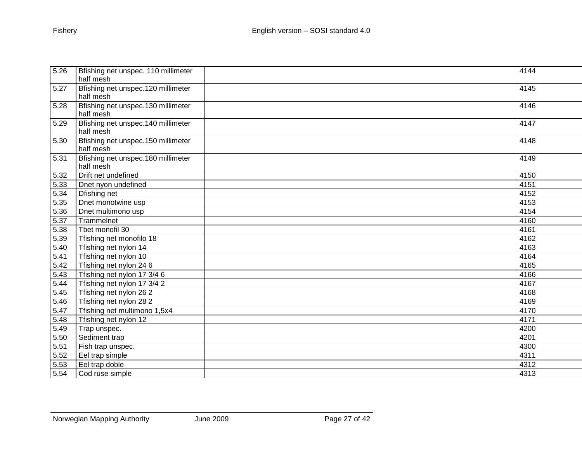| 5.26 | Bfishing net unspec. 110 millimeter | 4144 |
|------|-------------------------------------|------|
|      | half mesh                           |      |
| 5.27 | Bfishing net unspec.120 millimeter  | 4145 |
|      | half mesh                           |      |
| 5.28 | Bfishing net unspec.130 millimeter  | 4146 |
|      | half mesh                           |      |
| 5.29 | Bfishing net unspec.140 millimeter  | 4147 |
|      | half mesh                           |      |
| 5.30 | Bfishing net unspec.150 millimeter  | 4148 |
|      | half mesh                           |      |
| 5.31 | Bfishing net unspec.180 millimeter  | 4149 |
|      | half mesh                           |      |
| 5.32 | Drift net undefined                 | 4150 |
| 5.33 | Dnet nyon undefined                 | 4151 |
| 5.34 | Dfishing net                        | 4152 |
| 5.35 | Dnet monotwine usp                  | 4153 |
| 5.36 | Dnet multimono usp                  | 4154 |
| 5.37 | Trammelnet                          | 4160 |
| 5.38 | Thet monofil 30                     | 4161 |
| 5.39 | Tfishing net monofilo 18            | 4162 |
| 5.40 | Tfishing net nylon 14               | 4163 |
| 5.41 | Tfishing net nylon 10               | 4164 |
| 5.42 | Tfishing net nylon 24 6             | 4165 |
| 5.43 | Tfishing net nylon 17 3/4 6         | 4166 |
| 5.44 | Tfishing net nylon 17 3/4 2         | 4167 |
| 5.45 | Tfishing net nylon 26 2             | 4168 |
| 5.46 | Tfishing net nylon 28 2             | 4169 |
| 5.47 | Tfishing net multimono 1,5x4        | 4170 |
| 5.48 | Tfishing net nylon 12               | 4171 |
| 5.49 | Trap unspec.                        | 4200 |
| 5.50 | Sediment trap                       | 4201 |
| 5.51 | Fish trap unspec.                   | 4300 |
| 5.52 | Eel trap simple                     | 4311 |
| 5.53 | Eel trap doble                      | 4312 |
| 5.54 | Cod ruse simple                     | 4313 |
|      |                                     |      |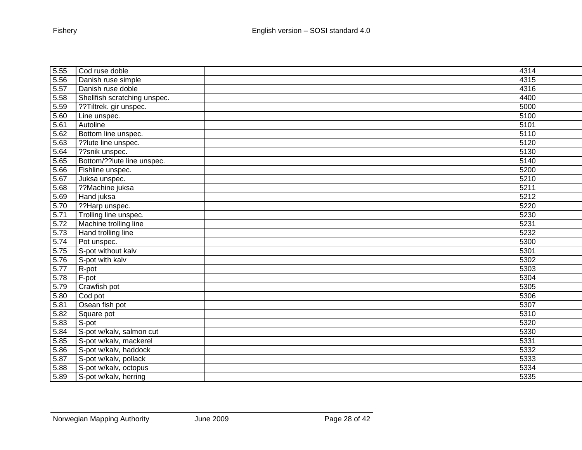| 5.55 | Cod ruse doble               | 4314              |
|------|------------------------------|-------------------|
| 5.56 | Danish ruse simple           | 4315              |
| 5.57 | Danish ruse doble            | 4316              |
| 5.58 | Shellfish scratching unspec. | 4400              |
| 5.59 | ??Tiltrek. gir unspec.       | 5000              |
| 5.60 | Line unspec.                 | 5100              |
| 5.61 | Autoline                     | 5101              |
| 5.62 | Bottom line unspec.          | 5110              |
| 5.63 | ??lute line unspec.          | 5120              |
| 5.64 | ??snik unspec.               | 5130              |
| 5.65 | Bottom/??lute line unspec.   | 5140              |
| 5.66 | Fishline unspec.             | 5200              |
| 5.67 | Juksa unspec.                | $\overline{5210}$ |
| 5.68 | ??Machine juksa              | 5211              |
| 5.69 | Hand juksa                   | 5212              |
| 5.70 | ??Harp unspec.               | 5220              |
| 5.71 | Trolling line unspec.        | 5230              |
| 5.72 | Machine trolling line        | 5231              |
| 5.73 | Hand trolling line           | 5232              |
| 5.74 | Pot unspec.                  | 5300              |
| 5.75 | S-pot without kalv           | 5301              |
| 5.76 | S-pot with kalv              | 5302              |
| 5.77 | R-pot                        | 5303              |
| 5.78 | F-pot                        | 5304              |
| 5.79 | Crawfish pot                 | 5305              |
| 5.80 | Cod pot                      | 5306              |
| 5.81 | Osean fish pot               | 5307              |
| 5.82 | Square pot                   | 5310              |
| 5.83 | S-pot                        | 5320              |
| 5.84 | S-pot w/kalv, salmon cut     | 5330              |
| 5.85 | S-pot w/kalv, mackerel       | 5331              |
| 5.86 | S-pot w/kalv, haddock        | 5332              |
| 5.87 | S-pot w/kalv, pollack        | 5333              |
| 5.88 | S-pot w/kalv, octopus        | 5334              |
| 5.89 | S-pot w/kalv, herring        | 5335              |
|      |                              |                   |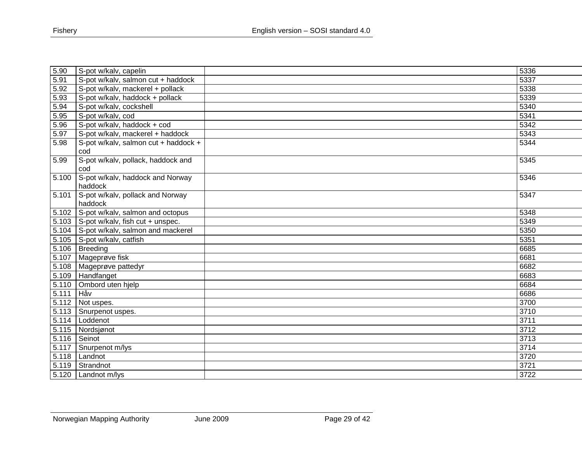| S-pot w/kalv, capelin                       |                                                                                 | 5336 |
|---------------------------------------------|---------------------------------------------------------------------------------|------|
| S-pot w/kalv, salmon cut + haddock          |                                                                                 | 5337 |
| S-pot w/kalv, mackerel + pollack            |                                                                                 | 5338 |
| S-pot w/kalv, haddock + pollack             |                                                                                 | 5339 |
| S-pot w/kalv, cockshell                     |                                                                                 | 5340 |
| S-pot w/kalv, cod                           |                                                                                 | 5341 |
| S-pot w/kalv, haddock + cod                 |                                                                                 | 5342 |
| S-pot w/kalv, mackerel + haddock            |                                                                                 | 5343 |
| S-pot w/kalv, salmon cut + haddock +<br>cod |                                                                                 | 5344 |
| S-pot w/kalv, pollack, haddock and<br>cod   |                                                                                 | 5345 |
| S-pot w/kalv, haddock and Norway<br>haddock |                                                                                 | 5346 |
| S-pot w/kalv, pollack and Norway<br>haddock |                                                                                 | 5347 |
| 5.102 S-pot w/kalv, salmon and octopus      |                                                                                 | 5348 |
| 5.103   S-pot w/kalv, fish cut + unspec.    |                                                                                 | 5349 |
| S-pot w/kalv, salmon and mackerel           |                                                                                 | 5350 |
| S-pot w/kalv, catfish                       |                                                                                 | 5351 |
| Breeding                                    |                                                                                 | 6685 |
|                                             |                                                                                 | 6681 |
| Mageprøve pattedyr                          |                                                                                 | 6682 |
|                                             |                                                                                 | 6683 |
| Ombord uten hjelp                           |                                                                                 | 6684 |
|                                             |                                                                                 | 6686 |
| Not uspes.                                  |                                                                                 | 3700 |
|                                             |                                                                                 | 3710 |
| Loddenot                                    |                                                                                 | 3711 |
|                                             |                                                                                 | 3712 |
|                                             |                                                                                 | 3713 |
| Snurpenot m/lys                             |                                                                                 | 3714 |
| Landnot                                     |                                                                                 | 3720 |
| Strandnot                                   |                                                                                 | 3721 |
| 5.120   Landnot m/lys                       |                                                                                 | 3722 |
|                                             | Mageprøve fisk<br>Handfanget<br>Håv<br>Snurpenot uspes.<br>Nordsjønot<br>Seinot |      |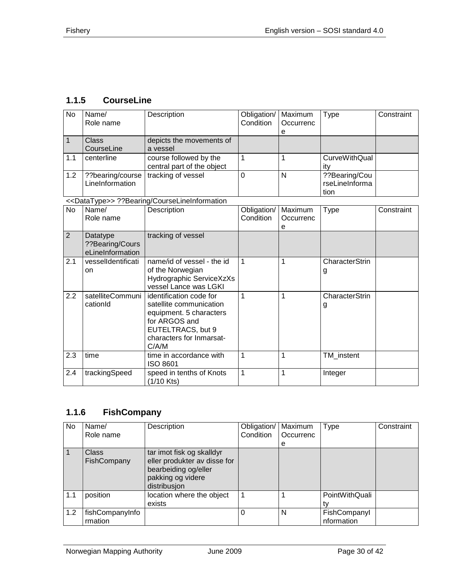# <span id="page-29-0"></span>**1.1.5 CourseLine**

| $\overline{N}$ | Name/<br>Role name                              | Description                                                                                                                                              | Obligation/<br>Condition | Maximum<br>Occurrenc<br>е | <b>Type</b>                             | Constraint |
|----------------|-------------------------------------------------|----------------------------------------------------------------------------------------------------------------------------------------------------------|--------------------------|---------------------------|-----------------------------------------|------------|
| $\mathbf{1}$   | <b>Class</b><br>CourseLine                      | depicts the movements of<br>a vessel                                                                                                                     |                          |                           |                                         |            |
| 1.1            | centerline                                      | course followed by the<br>central part of the object                                                                                                     | 1                        | 1                         | <b>CurveWithQual</b><br>ity             |            |
| 1.2            | ??bearing/course<br>LineInformation             | tracking of vessel                                                                                                                                       | $\overline{0}$           | N                         | ??Bearing/Cou<br>rseLineInforma<br>tion |            |
|                |                                                 | < <datatype>&gt; ??Bearing/CourseLineInformation</datatype>                                                                                              |                          |                           |                                         |            |
| $\overline{N}$ | Name/<br>Role name                              | Description                                                                                                                                              | Obligation/<br>Condition | Maximum<br>Occurrenc<br>е | <b>Type</b>                             | Constraint |
| $\overline{2}$ | Datatype<br>??Bearing/Cours<br>eLineInformation | tracking of vessel                                                                                                                                       |                          |                           |                                         |            |
| 2.1            | vesselldentificati<br>on                        | name/id of vessel - the id<br>of the Norwegian<br>Hydrographic ServiceXzXs<br>vessel Lance was LGKI                                                      | 1                        | 1                         | CharacterStrin<br>g                     |            |
| 2.2            | satelliteCommuni<br>cationId                    | identification code for<br>satellite communication<br>equipment. 5 characters<br>for ARGOS and<br>EUTELTRACS, but 9<br>characters for Inmarsat-<br>C/A/M | 1                        | 1                         | CharacterStrin<br>g                     |            |
| 2.3            | time                                            | time in accordance with<br>ISO 8601                                                                                                                      | 1                        | 1                         | TM instent                              |            |
| 2.4            | trackingSpeed                                   | speed in tenths of Knots<br>$(1/10$ Kts)                                                                                                                 | 1                        | 1                         | Integer                                 |            |

## <span id="page-29-1"></span>**1.1.6 FishCompany**

| <b>No</b> | Name/<br>Role name          | Description                                                                                                            | Obligation/   Maximum<br>Condition | Occurrenc<br>e | Type                       | Constraint |
|-----------|-----------------------------|------------------------------------------------------------------------------------------------------------------------|------------------------------------|----------------|----------------------------|------------|
|           | <b>Class</b><br>FishCompany | tar imot fisk og skalldyr<br>eller produkter av disse for<br>bearbeiding og/eller<br>pakking og videre<br>distribusjon |                                    |                |                            |            |
| 1.1       | position                    | location where the object<br>exists                                                                                    | 1                                  |                | PointWithQuali<br>tv       |            |
| 1.2       | fishCompanyInfo<br>rmation  |                                                                                                                        | $\Omega$                           | N              | FishCompanyl<br>nformation |            |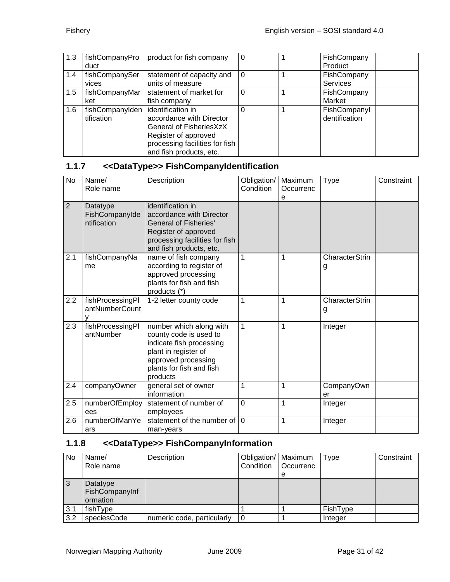| 1.3 | fishCompanyPro<br>duct              | product for fish company       | $\Omega$ | FishCompany<br>Product |
|-----|-------------------------------------|--------------------------------|----------|------------------------|
|     |                                     |                                |          |                        |
| 1.4 | fishCompanySer                      | statement of capacity and      | $\Omega$ | FishCompany            |
|     | vices                               | units of measure               |          | Services               |
| 1.5 | fishCompanyMar                      | statement of market for        | $\Omega$ | FishCompany            |
|     | ket                                 | fish company                   |          | Market                 |
| 1.6 | fishCompanyIden   identification in |                                |          | FishCompanyl           |
|     | tification                          | accordance with Director       |          | dentification          |
|     |                                     | General of FisheriesXzX        |          |                        |
|     |                                     | Register of approved           |          |                        |
|     |                                     | processing facilities for fish |          |                        |
|     |                                     | and fish products, etc.        |          |                        |

# <span id="page-30-0"></span>**1.1.7 <<DataType>> FishCompanyIdentification**

| <b>No</b>      | Name/<br>Role name                        | Description                                                                                                                                                          | Obligation/<br>Condition | Maximum<br>Occurrenc<br>е | Type                       | Constraint |
|----------------|-------------------------------------------|----------------------------------------------------------------------------------------------------------------------------------------------------------------------|--------------------------|---------------------------|----------------------------|------------|
| $\overline{2}$ | Datatype<br>FishCompanyIde<br>ntification | identification in<br>accordance with Director<br><b>General of Fisheries'</b><br>Register of approved<br>processing facilities for fish<br>and fish products, etc.   |                          |                           |                            |            |
| 2.1            | fishCompanyNa<br>me                       | name of fish company<br>according to register of<br>approved processing<br>plants for fish and fish<br>products (*)                                                  | $\mathbf{1}$             | 1                         | CharacterStrin<br>g        |            |
| 2.2            | fishProcessingPl<br>antNumberCount        | 1-2 letter county code                                                                                                                                               | 1                        | 1                         | <b>CharacterStrin</b><br>g |            |
| 2.3            | fishProcessingPl<br>antNumber             | number which along with<br>county code is used to<br>indicate fish processing<br>plant in register of<br>approved processing<br>plants for fish and fish<br>products | $\mathbf{1}$             | 1                         | Integer                    |            |
| 2.4            | companyOwner                              | general set of owner<br>information                                                                                                                                  | $\mathbf{1}$             | 1                         | CompanyOwn<br>er           |            |
| 2.5            | numberOfEmploy<br>ees                     | statement of number of<br>employees                                                                                                                                  | $\overline{0}$           | 1                         | Integer                    |            |
| 2.6            | numberOfManYe<br>ars                      | statement of the number of<br>man-years                                                                                                                              | $\Omega$                 | 1                         | Integer                    |            |

# <span id="page-30-1"></span>**1.1.8 <<DataType>> FishCompanyInformation**

| No  | Name/<br>Role name                     | Description                | Obligation/   Maximum<br>Condition | <b>Occurrenc</b><br>e | <b>Type</b> | Constraint |
|-----|----------------------------------------|----------------------------|------------------------------------|-----------------------|-------------|------------|
| -3  | Datatype<br>FishCompanyInf<br>ormation |                            |                                    |                       |             |            |
| 3.1 | fishType                               |                            |                                    |                       | FishType    |            |
| 3.2 | speciesCode                            | numeric code, particularly | -0                                 |                       | Integer     |            |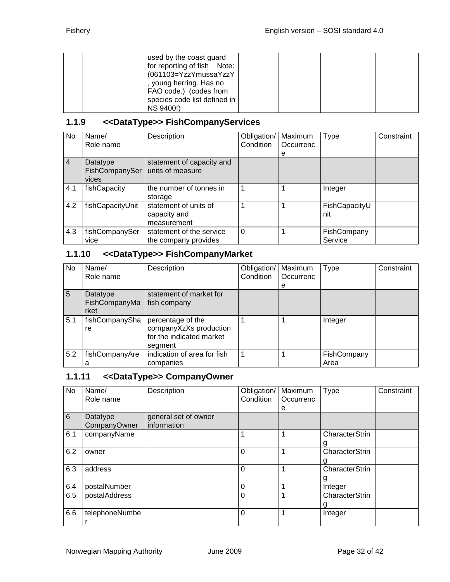|  | used by the coast guard      |  |  |
|--|------------------------------|--|--|
|  | for reporting of fish Note:  |  |  |
|  | (061103=YzzYmussaYzzY        |  |  |
|  | , young herring. Has no      |  |  |
|  | FAO code.) (codes from       |  |  |
|  | species code list defined in |  |  |
|  | NS 9400!)                    |  |  |

## <span id="page-31-0"></span>**1.1.9 <<DataType>> FishCompanyServices**

| <b>No</b>      | Name/            | Description               | Obligation/ | Maximum   | <b>Type</b>   | Constraint |
|----------------|------------------|---------------------------|-------------|-----------|---------------|------------|
|                | Role name        |                           | Condition   | Occurrenc |               |            |
|                |                  |                           |             | е         |               |            |
| $\overline{4}$ | Datatype         | statement of capacity and |             |           |               |            |
|                | FishCompanySer   | units of measure          |             |           |               |            |
|                | vices            |                           |             |           |               |            |
| 4.1            | fishCapacity     | the number of tonnes in   |             |           | Integer       |            |
|                |                  | storage                   |             |           |               |            |
| 4.2            | fishCapacityUnit | statement of units of     |             |           | FishCapacityU |            |
|                |                  | capacity and              |             |           | nit           |            |
|                |                  | measurement               |             |           |               |            |
| 4.3            | fishCompanySer   | statement of the service  | $\Omega$    |           | FishCompany   |            |
|                | vice             | the company provides      |             |           | Service       |            |

# <span id="page-31-1"></span>**1.1.10 <<DataType>> FishCompanyMarket**

| No. | Name/          | Description                 | Obligation/ | Maximum   | <b>Type</b> | Constraint |
|-----|----------------|-----------------------------|-------------|-----------|-------------|------------|
|     | Role name      |                             | Condition   | Occurrenc |             |            |
|     |                |                             |             | е         |             |            |
| 5   | Datatype       | statement of market for     |             |           |             |            |
|     | FishCompanyMa  | fish company                |             |           |             |            |
|     | rket           |                             |             |           |             |            |
| 5.1 | fishCompanySha | percentage of the           |             |           | Integer     |            |
|     | re             | companyXzXs production      |             |           |             |            |
|     |                | for the indicated market    |             |           |             |            |
|     |                | segment                     |             |           |             |            |
| 5.2 | fishCompanyAre | indication of area for fish |             |           | FishCompany |            |
|     | а              | companies                   |             |           | Area        |            |

## <span id="page-31-2"></span>**1.1.11 <<DataType>> CompanyOwner**

| No  | Name/<br>Role name       | Description                         | Obligation/<br>Condition | Maximum<br>Occurrenc<br>е | <b>Type</b>                | Constraint |
|-----|--------------------------|-------------------------------------|--------------------------|---------------------------|----------------------------|------------|
| 6   | Datatype<br>CompanyOwner | general set of owner<br>information |                          |                           |                            |            |
| 6.1 | companyName              |                                     | 1                        | 1                         | <b>CharacterStrin</b><br>g |            |
| 6.2 | owner                    |                                     | $\Omega$                 | 1                         | CharacterStrin<br>g        |            |
| 6.3 | address                  |                                     | $\overline{0}$           | 1                         | <b>CharacterStrin</b><br>g |            |
| 6.4 | postalNumber             |                                     | $\mathbf 0$              | 1                         | Integer                    |            |
| 6.5 | postalAddress            |                                     | $\mathbf 0$              | 1                         | <b>CharacterStrin</b><br>g |            |
| 6.6 | telephoneNumbe           |                                     | $\Omega$                 | 1                         | Integer                    |            |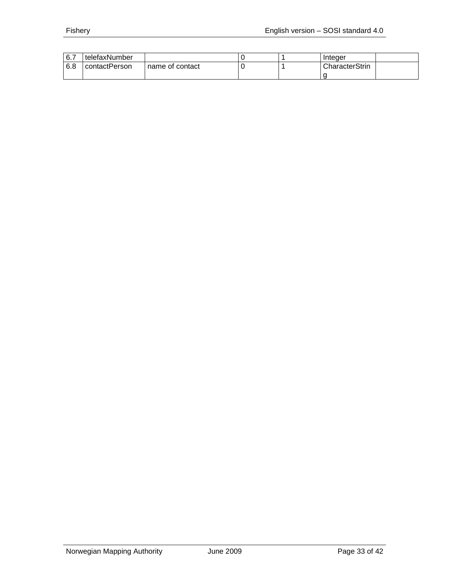| 6.7   | telefaxNumber |                 |  | Integer        |
|-------|---------------|-----------------|--|----------------|
| l 6.8 | contactPerson | name of contact |  | CharacterStrin |
|       |               |                 |  |                |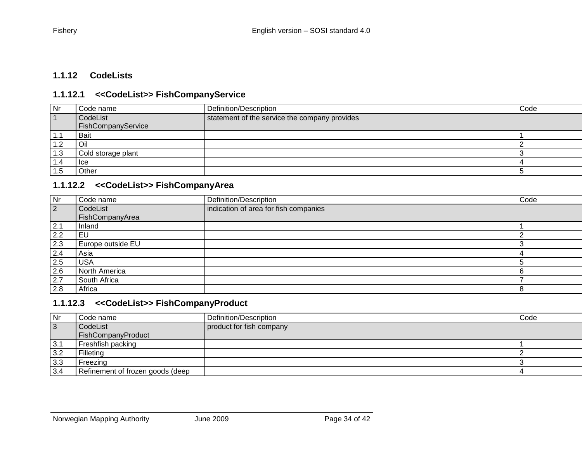#### **1.1.12 CodeLists**

#### **1.1.12.1 <<CodeList>> FishCompanyService**

| Nr              | Code name          | Definition/Description                        | Code |
|-----------------|--------------------|-----------------------------------------------|------|
|                 | CodeList           | statement of the service the company provides |      |
|                 | FishCompanyService |                                               |      |
| I . I           | Bait               |                                               |      |
| l.2             | Oil                |                                               |      |
| 1.3             | Cold storage plant |                                               |      |
| $\mathsf{I}$ .4 | lce                |                                               |      |
|                 | Other              |                                               |      |

#### **1.1.12.2 <<CodeList>> FishCompanyArea**

<span id="page-33-1"></span><span id="page-33-0"></span>

| Nr          | Code name                   | Definition/Description                | Code |
|-------------|-----------------------------|---------------------------------------|------|
| $ 2\rangle$ | CodeList<br>FishCompanyArea | indication of area for fish companies |      |
| 2.1         | Inland                      |                                       |      |
| 2.2         | EU                          |                                       |      |
| 2.3         | Europe outside EU           |                                       |      |
| 2.4         | Asia                        |                                       |      |
| 2.5         | <b>USA</b>                  |                                       |      |
| 2.6         | North America               |                                       |      |
| 2.7         | South Africa                |                                       |      |
| 2.8         | Africa                      |                                       | -8   |

#### **1.1.12.3 <<CodeList>> FishCompanyProduct**

<span id="page-33-3"></span><span id="page-33-2"></span>

| Nr             | Code name                        | Definition/Description   | Code |
|----------------|----------------------------------|--------------------------|------|
| $\overline{3}$ | CodeList                         | product for fish company |      |
|                | FishCompanyProduct               |                          |      |
| 3.1            | Freshfish packing                |                          |      |
| 3.2            | Filleting                        |                          |      |
| 3.3            | Freezing                         |                          |      |
| 3.4            | Refinement of frozen goods (deep |                          |      |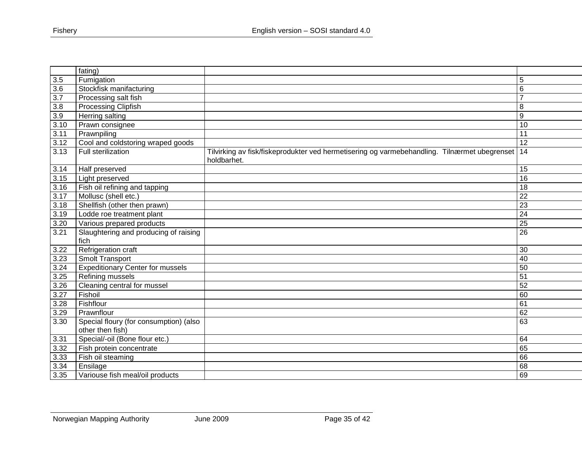|                  | fating)                                       |                                                                                                             |                 |
|------------------|-----------------------------------------------|-------------------------------------------------------------------------------------------------------------|-----------------|
| 3.5              | Fumigation                                    |                                                                                                             | 5               |
| 3.6              | Stockfisk manifacturing                       |                                                                                                             | 6               |
| $\overline{3.7}$ | Processing salt fish                          |                                                                                                             | $\overline{7}$  |
| 3.8              | Processing Clipfish                           |                                                                                                             | 8               |
| 3.9              | <b>Herring salting</b>                        |                                                                                                             | 9               |
| 3.10             | Prawn consignee                               |                                                                                                             | 10              |
| 3.11             | Prawnpiling                                   |                                                                                                             | 11              |
| 3.12             | Cool and coldstoring wraped goods             |                                                                                                             | 12              |
| 3.13             | Full sterilization                            | Tilvirking av fisk/fiskeprodukter ved hermetisering og varmebehandling. Tilnærmet ubegrenset<br>holdbarhet. | 14              |
| 3.14             | Half preserved                                |                                                                                                             | 15              |
| 3.15             | Light preserved                               |                                                                                                             | 16              |
| 3.16             | Fish oil refining and tapping                 |                                                                                                             | 18              |
| 3.17             | Mollusc (shell etc.)                          |                                                                                                             | 22              |
| 3.18             | Shellfish (other then prawn)                  |                                                                                                             | 23              |
| 3.19             | Lodde roe treatment plant                     |                                                                                                             | 24              |
| 3.20             | Various prepared products                     |                                                                                                             | 25              |
| 3.21             | Slaughtering and producing of raising<br>fich |                                                                                                             | $\overline{26}$ |
| 3.22             | Refrigeration craft                           |                                                                                                             | 30              |
| 3.23             | Smolt Transport                               |                                                                                                             | 40              |
| 3.24             | <b>Expeditionary Center for mussels</b>       |                                                                                                             | 50              |
| 3.25             | Refining mussels                              |                                                                                                             | 51              |
| 3.26             | Cleaning central for mussel                   |                                                                                                             | 52              |
| 3.27             | Fishoil                                       |                                                                                                             | 60              |
| 3.28             | Fishflour                                     |                                                                                                             | 61              |
| 3.29             | Prawnflour                                    |                                                                                                             | 62              |
| 3.30             | Special floury (for consumption) (also        |                                                                                                             | 63              |
|                  | other then fish)                              |                                                                                                             |                 |
| 3.31             | Special/-oil (Bone flour etc.)                |                                                                                                             | 64              |
| 3.32             | Fish protein concentrate                      |                                                                                                             | 65              |
| 3.33             | Fish oil steaming                             |                                                                                                             | 66              |
| 3.34             | Ensilage                                      |                                                                                                             | 68              |
| 3.35             | Variouse fish meal/oil products               |                                                                                                             | 69              |
|                  |                                               |                                                                                                             |                 |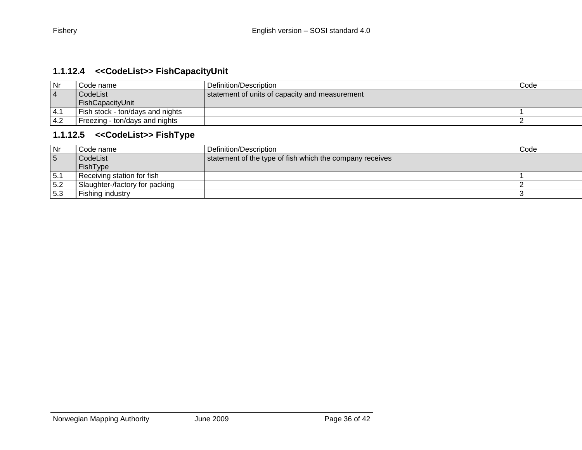# **1.1.12.4 <<CodeList>> FishCapacityUnit**

| Nr             | Code name :                      | l Definition/Description                       | Code |
|----------------|----------------------------------|------------------------------------------------|------|
| - 4            | CodeList                         | statement of units of capacity and measurement |      |
|                | FishCapacityUnit                 |                                                |      |
| <sup>4.1</sup> | Fish stock - ton/days and nights |                                                |      |
| 4.2            | Freezing - ton/days and nights   |                                                |      |

## **1.1.12.5 <<CodeList>> FishType**

<span id="page-35-1"></span><span id="page-35-0"></span>

| Nr             | Code name                      | Definition/Description                                   | Code |
|----------------|--------------------------------|----------------------------------------------------------|------|
| $\overline{5}$ | CodeList                       | statement of the type of fish which the company receives |      |
|                | FishType                       |                                                          |      |
| 5.1            | Receiving station for fish     |                                                          |      |
| 5.2            | Slaughter-/factory for packing |                                                          |      |
| 5.3            | Fishing industry               |                                                          |      |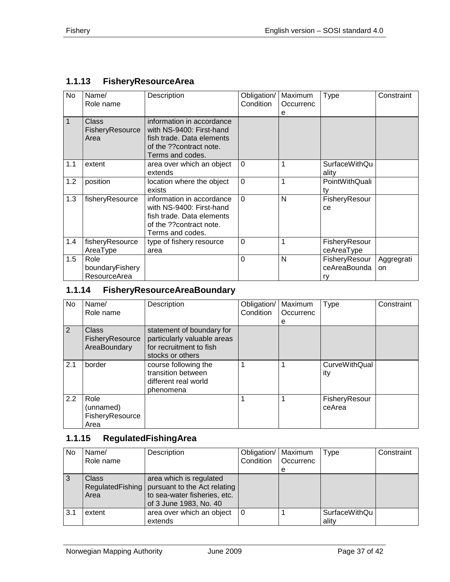# <span id="page-36-0"></span>**1.1.13 FisheryResourceArea**

| No  | Name/<br>Role name                      | Description                                                                                                                       | Obligation/<br>Condition | Maximum<br>Occurrenc<br>e | Type                                | Constraint       |
|-----|-----------------------------------------|-----------------------------------------------------------------------------------------------------------------------------------|--------------------------|---------------------------|-------------------------------------|------------------|
| 1   | <b>Class</b><br>FisheryResource<br>Area | information in accordance<br>with NS-9400: First-hand<br>fish trade. Data elements<br>of the ??contract note.<br>Terms and codes. |                          |                           |                                     |                  |
| 1.1 | extent                                  | area over which an object<br>extends                                                                                              | $\Omega$                 | 1                         | <b>SurfaceWithQu</b><br>ality       |                  |
| 1.2 | position                                | location where the object<br>exists                                                                                               | $\mathbf 0$              | 1                         | PointWithQuali<br>ty                |                  |
| 1.3 | fisheryResource                         | information in accordance<br>with NS-9400: First-hand<br>fish trade. Data elements<br>of the ??contract note.<br>Terms and codes. | $\Omega$                 | N                         | FisheryResour<br>ce                 |                  |
| 1.4 | fisheryResource<br>AreaType             | type of fishery resource<br>area                                                                                                  | $\overline{0}$           | 1                         | FisheryResour<br>ceAreaType         |                  |
| 1.5 | Role<br>boundaryFishery<br>ResourceArea |                                                                                                                                   | $\overline{0}$           | N                         | FisheryResour<br>ceAreaBounda<br>rv | Aggregrati<br>on |

# <span id="page-36-1"></span>**1.1.14 FisheryResourceAreaBoundary**

| No  | Name/<br>Role name                           | Description                                                                                             | Obligation/<br>Condition | Maximum<br>Occurrenc<br>е | <b>Type</b>                 | Constraint |
|-----|----------------------------------------------|---------------------------------------------------------------------------------------------------------|--------------------------|---------------------------|-----------------------------|------------|
| 2   | Class<br>FisheryResource<br>AreaBoundary     | statement of boundary for<br>particularly valuable areas<br>for recruitment to fish<br>stocks or others |                          |                           |                             |            |
| 2.1 | border                                       | course following the<br>transition between<br>different real world<br>phenomena                         |                          |                           | <b>CurveWithQual</b><br>ity |            |
| 2.2 | Role<br>(unnamed)<br>FisheryResource<br>Area |                                                                                                         |                          |                           | FisheryResour<br>ceArea     |            |

# <span id="page-36-2"></span>**1.1.15 RegulatedFishingArea**

| No  | Name/<br>Role name                | Description                                                                                                       | Obligation/   Maximum<br>Condition | <b>Occurrenc</b><br>е | <b>Type</b>                   | Constraint |
|-----|-----------------------------------|-------------------------------------------------------------------------------------------------------------------|------------------------------------|-----------------------|-------------------------------|------------|
|     | Class<br>RegulatedFishing<br>Area | area which is regulated<br>pursuant to the Act relating<br>to sea-water fisheries, etc.<br>of 3 June 1983, No. 40 |                                    |                       |                               |            |
| 3.1 | extent                            | area over which an object<br>extends                                                                              | l 0                                |                       | <b>SurfaceWithQu</b><br>ality |            |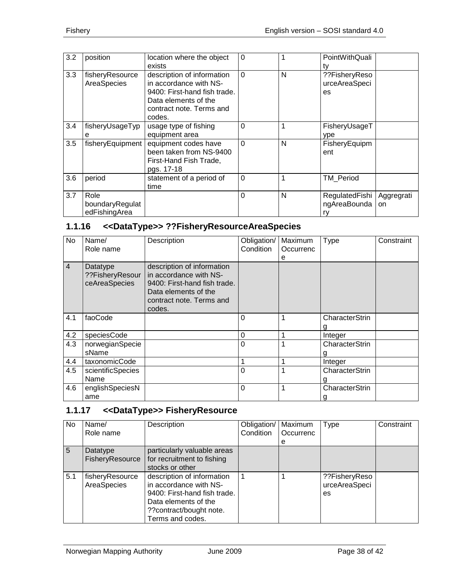| 3.2 | position                                 | location where the object<br>exists                                                                                                                | $\Omega$       |   | PointWithQuali<br>tv                   |                  |
|-----|------------------------------------------|----------------------------------------------------------------------------------------------------------------------------------------------------|----------------|---|----------------------------------------|------------------|
| 3.3 | fisheryResource<br>AreaSpecies           | description of information<br>in accordance with NS-<br>9400: First-hand fish trade.<br>Data elements of the<br>contract note. Terms and<br>codes. | $\overline{0}$ | N | ??FisheryReso<br>urceAreaSpeci<br>es   |                  |
| 3.4 | fisheryUsageTyp<br>е                     | usage type of fishing<br>equipment area                                                                                                            | $\Omega$       | 1 | FisheryUsageT<br>ype                   |                  |
| 3.5 | fisheryEquipment                         | equipment codes have<br>been taken from NS-9400<br>First-Hand Fish Trade,<br>pgs. 17-18                                                            | $\overline{0}$ | N | FisheryEquipm<br>ent                   |                  |
| 3.6 | period                                   | statement of a period of<br>time                                                                                                                   | $\Omega$       | 1 | <b>TM Period</b>                       |                  |
| 3.7 | Role<br>boundaryRegulat<br>edFishingArea |                                                                                                                                                    | 0              | N | RegulatedFishi  <br>ngAreaBounda<br>ry | Aggregrati<br>on |

# <span id="page-37-0"></span>**1.1.16 <<DataType>> ??FisheryResourceAreaSpecies**

| No             | Name/<br>Role name                           | Description                                                                                                                                        | Obligation/<br>Condition | Maximum<br>Occurrenc<br>e | <b>Type</b>           | Constraint |
|----------------|----------------------------------------------|----------------------------------------------------------------------------------------------------------------------------------------------------|--------------------------|---------------------------|-----------------------|------------|
| $\overline{4}$ | Datatype<br>??FisheryResour<br>ceAreaSpecies | description of information<br>in accordance with NS-<br>9400: First-hand fish trade.<br>Data elements of the<br>contract note. Terms and<br>codes. |                          |                           |                       |            |
| 4.1            | faoCode                                      |                                                                                                                                                    | 0                        | 1                         | CharacterStrin        |            |
|                |                                              |                                                                                                                                                    |                          |                           |                       |            |
| 4.2            | speciesCode                                  |                                                                                                                                                    | $\overline{0}$           | 1                         | Integer               |            |
| 4.3            | norwegianSpecie                              |                                                                                                                                                    | $\Omega$                 | 1                         | <b>CharacterStrin</b> |            |
|                | sName                                        |                                                                                                                                                    |                          |                           |                       |            |
| 4.4            | taxonomicCode                                |                                                                                                                                                    | 1                        | 1                         | Integer               |            |
| 4.5            | scientificSpecies                            |                                                                                                                                                    | $\overline{0}$           | 1                         | <b>CharacterStrin</b> |            |
|                | Name                                         |                                                                                                                                                    |                          |                           |                       |            |
| 4.6            | englishSpeciesN                              |                                                                                                                                                    | $\Omega$                 | 1                         | CharacterStrin        |            |
|                | ame                                          |                                                                                                                                                    |                          |                           | g                     |            |

# <span id="page-37-1"></span>**1.1.17 <<DataType>> FisheryResource**

| No.         | Name/<br>Role name | Description                  | Obligation/<br>Condition | Maximum<br>Occurrenc | <b>Type</b>   | Constraint |
|-------------|--------------------|------------------------------|--------------------------|----------------------|---------------|------------|
|             |                    |                              |                          | е                    |               |            |
| $5^{\circ}$ | Datatype           | particularly valuable areas  |                          |                      |               |            |
|             | FisheryResource    | for recruitment to fishing   |                          |                      |               |            |
|             |                    | stocks or other              |                          |                      |               |            |
| 5.1         | fisheryResource    | description of information   |                          |                      | ??FisheryReso |            |
|             | AreaSpecies        | in accordance with NS-       |                          |                      | urceAreaSpeci |            |
|             |                    | 9400: First-hand fish trade. |                          |                      | es            |            |
|             |                    | Data elements of the         |                          |                      |               |            |
|             |                    | ??contract/bought note.      |                          |                      |               |            |
|             |                    | Terms and codes.             |                          |                      |               |            |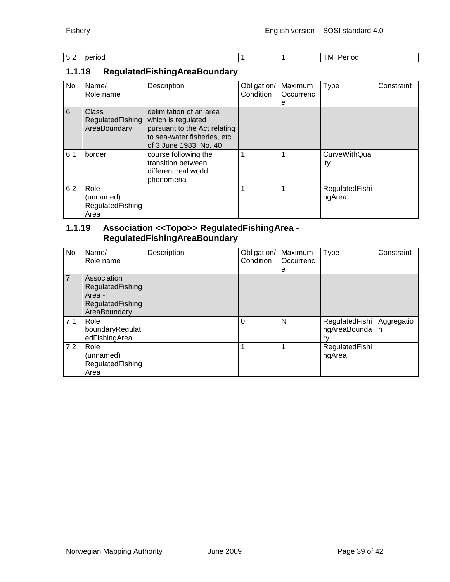| $\overline{\phantom{a}}$<br>J.Z<br>__ | period |  | Period<br>M<br>$- - - - -$ |  |
|---------------------------------------|--------|--|----------------------------|--|

# <span id="page-38-0"></span>**1.1.18 RegulatedFishingAreaBoundary**

| No  | Name/<br>Role name                            | Description                                                                                                                             | Obligation/<br>Condition | Maximum<br>Occurrenc<br>е | <b>Type</b>                 | Constraint |
|-----|-----------------------------------------------|-----------------------------------------------------------------------------------------------------------------------------------------|--------------------------|---------------------------|-----------------------------|------------|
| 6   | Class<br>RegulatedFishing<br>AreaBoundary     | delimitation of an area<br>which is regulated<br>pursuant to the Act relating<br>to sea-water fisheries, etc.<br>of 3 June 1983, No. 40 |                          |                           |                             |            |
| 6.1 | border                                        | course following the<br>transition between<br>different real world<br>phenomena                                                         |                          |                           | <b>CurveWithQual</b><br>ity |            |
| 6.2 | Role<br>(unnamed)<br>RegulatedFishing<br>Area |                                                                                                                                         |                          |                           | RegulatedFishi<br>ngArea    |            |

#### <span id="page-38-1"></span>**1.1.19 Association <<Topo>> RegulatedFishingArea - RegulatedFishingAreaBoundary**

| No. | Name/<br>Role name                                                            | Description | Obligation/<br>Condition | Maximum<br>Occurrenc<br>e | Type                                                  | Constraint |
|-----|-------------------------------------------------------------------------------|-------------|--------------------------|---------------------------|-------------------------------------------------------|------------|
| 7   | Association<br>RegulatedFishing<br>Area -<br>RegulatedFishing<br>AreaBoundary |             |                          |                           |                                                       |            |
| 7.1 | Role<br>boundaryRegulat<br>edFishingArea                                      |             | 0                        | N                         | RegulatedFishi   Aggregatio<br>ngAreaBounda   n<br>rv |            |
| 7.2 | Role<br>(unnamed)<br>RegulatedFishing<br>Area                                 |             |                          | 1                         | RegulatedFishi<br>ngArea                              |            |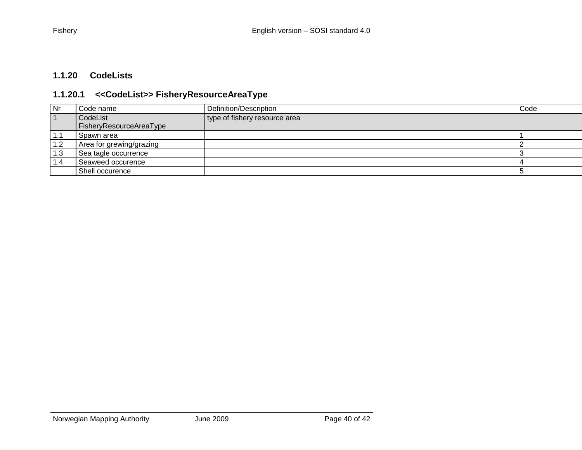# **1.1.20 CodeLists**

# **1.1.20.1 <<CodeList>> FisheryResourceAreaType**

<span id="page-39-1"></span><span id="page-39-0"></span>

| l Nr | Code name                | Definition/Description        | Code |
|------|--------------------------|-------------------------------|------|
|      | CodeList                 | type of fishery resource area |      |
|      | FisheryResourceAreaType  |                               |      |
| 1.1  | Spawn area               |                               |      |
| 1.2  | Area for grewing/grazing |                               |      |
| 1.3  | Sea tagle occurrence     |                               |      |
| 1.4  | Seaweed occurence        |                               |      |
|      | Shell occurence          |                               |      |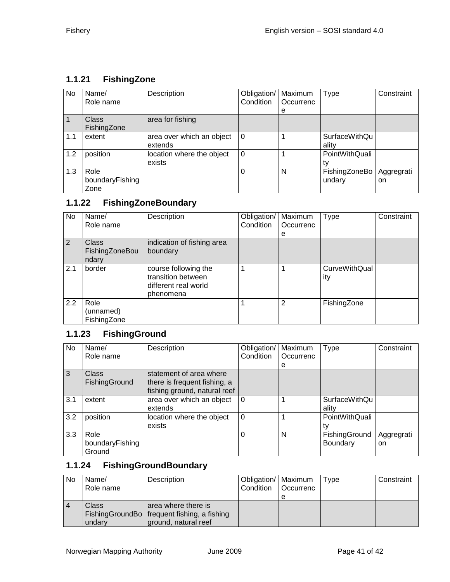# <span id="page-40-0"></span>**1.1.21 FishingZone**

| No  | Name/<br>Role name              | Description                          | Obligation/<br>Condition | Maximum<br>Occurrenc<br>e | Type                    | Constraint       |
|-----|---------------------------------|--------------------------------------|--------------------------|---------------------------|-------------------------|------------------|
| 1   | <b>Class</b><br>FishingZone     | area for fishing                     |                          |                           |                         |                  |
| 1.1 | extent                          | area over which an object<br>extends | $\Omega$                 |                           | SurfaceWithQu<br>ality  |                  |
| 1.2 | position                        | location where the object<br>exists  | 0                        |                           | PointWithQuali          |                  |
| 1.3 | Role<br>boundaryFishing<br>Zone |                                      | 0                        | N                         | FishingZoneBo<br>undary | Aggregrati<br>on |

# <span id="page-40-1"></span>**1.1.22 FishingZoneBoundary**

| <b>No</b> | Name/<br>Role name                      | Description                                                                     | Obligation/<br>Condition | Maximum<br>Occurrenc | <b>Type</b>          | Constraint |
|-----------|-----------------------------------------|---------------------------------------------------------------------------------|--------------------------|----------------------|----------------------|------------|
|           |                                         |                                                                                 |                          | e                    |                      |            |
| 2         | <b>Class</b><br>FishingZoneBou<br>ndary | indication of fishing area<br>boundary                                          |                          |                      |                      |            |
| 2.1       | border                                  | course following the<br>transition between<br>different real world<br>phenomena |                          |                      | CurveWithQual<br>ity |            |
| 2.2       | Role<br>(unnamed)<br>FishingZone        |                                                                                 |                          | $\overline{2}$       | FishingZone          |            |

# <span id="page-40-2"></span>**1.1.23 FishingGround**

| No  | Name/<br>Role name                | Description                                                                             | Obligation/<br>Condition | Maximum<br>Occurrenc<br>е | <b>Type</b>                   | Constraint        |
|-----|-----------------------------------|-----------------------------------------------------------------------------------------|--------------------------|---------------------------|-------------------------------|-------------------|
| 3   | <b>Class</b><br>FishingGround     | statement of area where<br>there is frequent fishing, a<br>fishing ground, natural reef |                          |                           |                               |                   |
| 3.1 | extent                            | area over which an object<br>extends                                                    | $\Omega$                 |                           | <b>SurfaceWithQu</b><br>ality |                   |
| 3.2 | position                          | location where the object<br>exists                                                     | $\Omega$                 |                           | PointWithQuali<br>tv          |                   |
| 3.3 | Role<br>boundaryFishing<br>Ground |                                                                                         | $\Omega$                 | N                         | FishingGround<br>Boundary     | Aggregrati<br>on. |

# <span id="page-40-3"></span>**1.1.24 FishingGroundBoundary**

| No | Name/<br>Role name | Description                                   | Obligation/   Maximum<br>Condition | <b>Occurrenc</b> | Type | Constraint |
|----|--------------------|-----------------------------------------------|------------------------------------|------------------|------|------------|
|    |                    |                                               |                                    |                  |      |            |
|    | Class              | area where there is                           |                                    |                  |      |            |
|    |                    | FishingGroundBo   frequent fishing, a fishing |                                    |                  |      |            |
|    | undary             | ground, natural reef                          |                                    |                  |      |            |